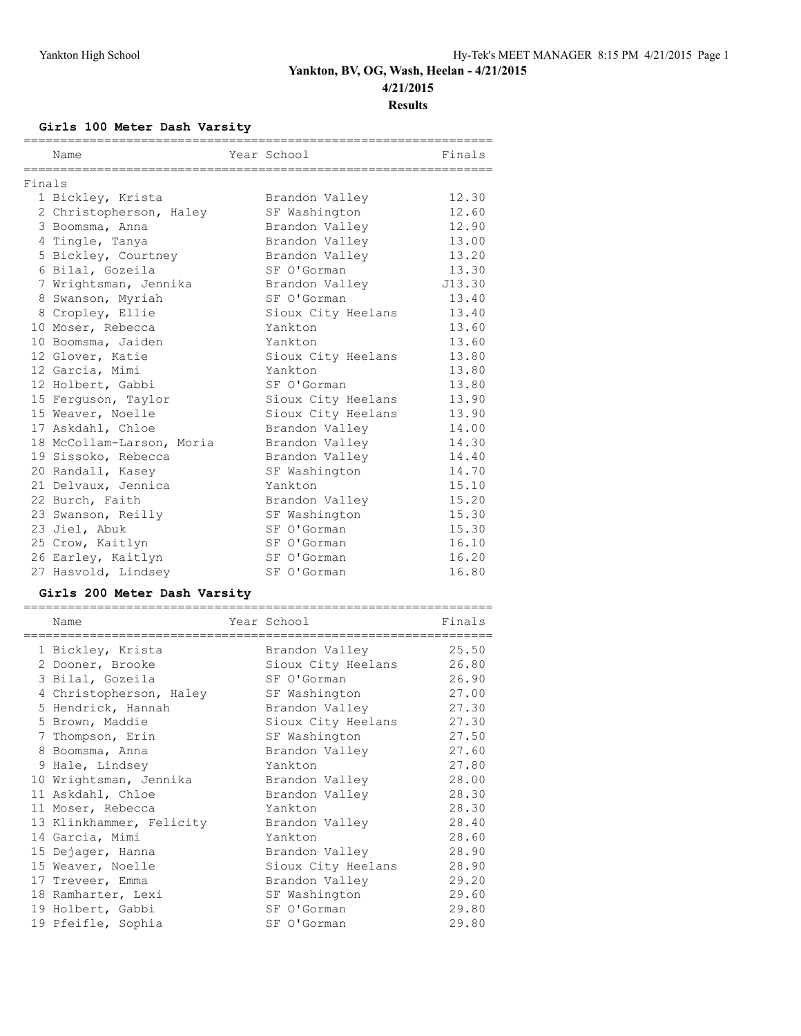#### **Girls 100 Meter Dash Varsity**

|        | Name                      | Year School        | Finals |
|--------|---------------------------|--------------------|--------|
| Finals |                           |                    |        |
|        | 1 Bickley, Krista         | Brandon Valley     | 12.30  |
|        | 2 Christopherson, Haley   | SF Washington      | 12.60  |
|        | 3 Boomsma, Anna           | Brandon Valley     | 12.90  |
|        | 4 Tingle, Tanya           | Brandon Valley     | 13.00  |
|        | 5 Bickley, Courtney       | Brandon Valley     | 13.20  |
|        | 6 Bilal, Gozeila          | SF O'Gorman        | 13.30  |
|        | 7 Wrightsman, Jennika     | Brandon Valley     | J13.30 |
|        | 8 Swanson, Myriah         | SF O'Gorman        | 13.40  |
|        | 8 Cropley, Ellie          | Sioux City Heelans | 13.40  |
|        | 10 Moser, Rebecca         | Yankton            | 13.60  |
|        | 10 Boomsma, Jaiden        | Yankton            | 13.60  |
|        | 12 Glover, Katie          | Sioux City Heelans | 13.80  |
|        | 12 Garcia, Mimi           | Yankton            | 13.80  |
|        | 12 Holbert, Gabbi         | SF O'Gorman        | 13.80  |
|        | 15 Ferquson, Taylor       | Sioux City Heelans | 13.90  |
|        | 15 Weaver, Noelle         | Sioux City Heelans | 13.90  |
|        | 17 Askdahl, Chloe         | Brandon Valley     | 14.00  |
|        | 18 McCollam-Larson, Moria | Brandon Valley     | 14.30  |
|        | 19 Sissoko, Rebecca       | Brandon Valley     | 14.40  |
|        | 20 Randall, Kasey         | SF Washington      | 14.70  |
|        | 21 Delvaux, Jennica       | Yankton            | 15.10  |
|        | 22 Burch, Faith           | Brandon Valley     | 15.20  |
|        | 23 Swanson, Reilly        | SF Washington      | 15.30  |
|        | 23 Jiel, Abuk             | SF O'Gorman        | 15.30  |
|        | 25 Crow, Kaitlyn          | SF O'Gorman        | 16.10  |
|        | 26 Earley, Kaitlyn        | SF O'Gorman        | 16.20  |
|        | 27 Hasvold, Lindsey       | SF O'Gorman        | 16.80  |

# **Girls 200 Meter Dash Varsity**

| Name                     | Year School        | Finals |
|--------------------------|--------------------|--------|
| 1 Bickley, Krista        | Brandon Valley     | 25.50  |
| 2 Dooner, Brooke         | Sioux City Heelans | 26.80  |
| 3 Bilal, Gozeila         | SF O'Gorman        | 26.90  |
| 4 Christopherson, Haley  | SF Washington      | 27.00  |
| 5 Hendrick, Hannah       | Brandon Valley     | 27.30  |
| 5 Brown, Maddie          | Sioux City Heelans | 27.30  |
| 7 Thompson, Erin         | SF Washington      | 27.50  |
| 8 Boomsma, Anna          | Brandon Valley     | 27.60  |
| 9 Hale, Lindsey          | Yankton            | 27.80  |
| 10 Wrightsman, Jennika   | Brandon Valley     | 28.00  |
| 11 Askdahl, Chloe        | Brandon Valley     | 28.30  |
| 11 Moser, Rebecca        | Yankton            | 28.30  |
| 13 Klinkhammer, Felicity | Brandon Valley     | 28.40  |
| 14 Garcia, Mimi          | Yankton            | 28.60  |
| 15 Dejager, Hanna        | Brandon Valley     | 28.90  |
| 15 Weaver, Noelle        | Sioux City Heelans | 28.90  |
| 17 Treveer, Emma         | Brandon Valley     | 29.20  |
| 18 Ramharter, Lexi       | SF Washington      | 29.60  |
| 19 Holbert, Gabbi        | SF O'Gorman        | 29.80  |
| 19 Pfeifle, Sophia       | SF O'Gorman        | 29.80  |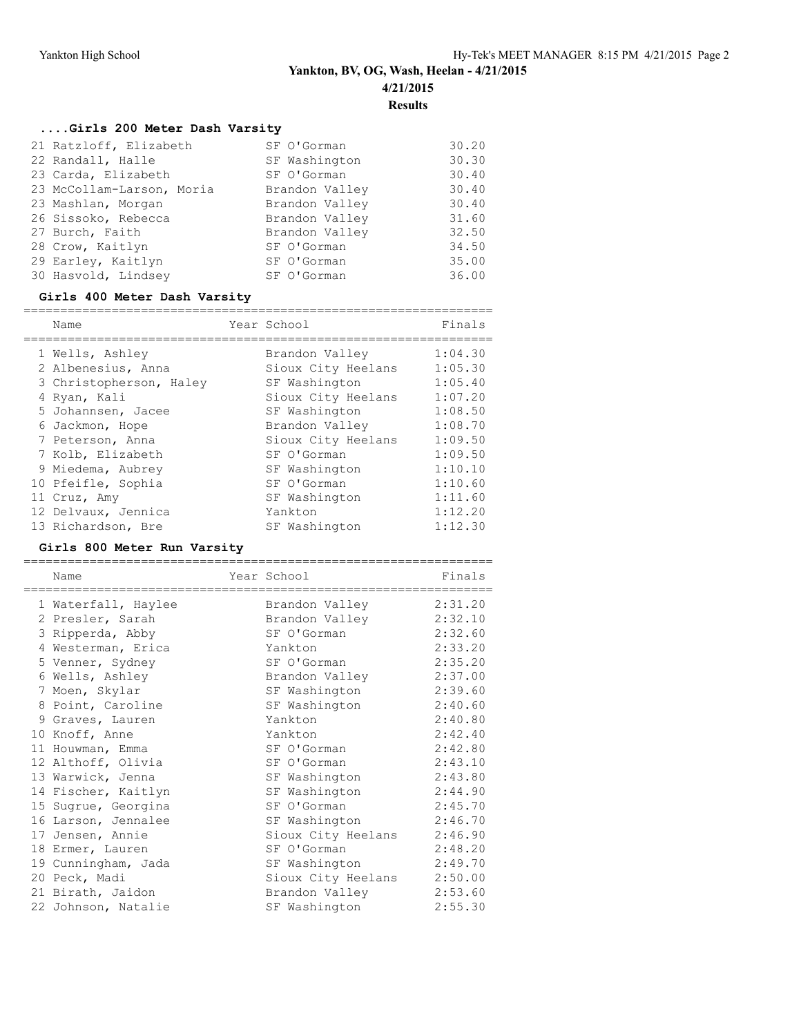**Results**

# **....Girls 200 Meter Dash Varsity**

| 21 Ratzloff, Elizabeth    | SF O'Gorman    | 30.20 |
|---------------------------|----------------|-------|
| 22 Randall, Halle         | SF Washington  | 30.30 |
| 23 Carda, Elizabeth       | SF O'Gorman    | 30.40 |
| 23 McCollam-Larson, Moria | Brandon Valley | 30.40 |
| 23 Mashlan, Morgan        | Brandon Valley | 30.40 |
| 26 Sissoko, Rebecca       | Brandon Valley | 31.60 |
| 27 Burch, Faith           | Brandon Valley | 32.50 |
| 28 Crow, Kaitlyn          | SF O'Gorman    | 34.50 |
| 29 Earley, Kaitlyn        | SF O'Gorman    | 35.00 |
| 30 Hasvold, Lindsey       | SF O'Gorman    | 36.00 |

#### **Girls 400 Meter Dash Varsity**

| Name                    | Year School        | Finals  |
|-------------------------|--------------------|---------|
| 1 Wells, Ashley         | Brandon Valley     | 1:04.30 |
| 2 Albenesius, Anna      | Sioux City Heelans | 1:05.30 |
| 3 Christopherson, Haley | SF Washington      | 1:05.40 |
| 4 Ryan, Kali            | Sioux City Heelans | 1:07.20 |
| 5 Johannsen, Jacee      | SF Washington      | 1:08.50 |
| 6 Jackmon, Hope         | Brandon Valley     | 1:08.70 |
| 7 Peterson, Anna        | Sioux City Heelans | 1:09.50 |
| 7 Kolb, Elizabeth       | SF O'Gorman        | 1:09.50 |
| 9 Miedema, Aubrey       | SF Washington      | 1:10.10 |
| 10 Pfeifle, Sophia      | SF O'Gorman        | 1:10.60 |
| 11 Cruz, Amy            | SF Washington      | 1:11.60 |
| 12 Delvaux, Jennica     | Yankton            | 1:12.20 |
| 13 Richardson, Bre      | SF Washington      | 1:12.30 |

# **Girls 800 Meter Run Varsity**

| Name                | Year School<br>================= | Finals  |
|---------------------|----------------------------------|---------|
| 1 Waterfall, Haylee | Brandon Valley                   | 2:31.20 |
| 2 Presler, Sarah    | Brandon Valley                   | 2:32.10 |
| 3 Ripperda, Abby    | SF O'Gorman                      | 2:32.60 |
| 4 Westerman, Erica  | Yankton                          | 2:33.20 |
| 5 Venner, Sydney    | SF O'Gorman                      | 2:35.20 |
| 6 Wells, Ashley     | Brandon Valley                   | 2:37.00 |
| 7 Moen, Skylar      | SF Washington                    | 2:39.60 |
| 8 Point, Caroline   | SF Washington                    | 2:40.60 |
| 9 Graves, Lauren    | Yankton                          | 2:40.80 |
| 10 Knoff, Anne      | Yankton                          | 2:42.40 |
| 11 Houwman, Emma    | SF O'Gorman                      | 2:42.80 |
| 12 Althoff, Olivia  | SF O'Gorman                      | 2:43.10 |
| 13 Warwick, Jenna   | SF Washington                    | 2:43.80 |
| 14 Fischer, Kaitlyn | SF Washington                    | 2:44.90 |
| 15 Sugrue, Georgina | SF O'Gorman                      | 2:45.70 |
| 16 Larson, Jennalee | SF Washington 2:46.70            |         |
| 17 Jensen, Annie    | Sioux City Heelans 2:46.90       |         |
| 18 Ermer, Lauren    | SF O'Gorman                      | 2:48.20 |
| 19 Cunningham, Jada | SF Washington                    | 2:49.70 |
| 20 Peck, Madi       | Sioux City Heelans 2:50.00       |         |
| 21 Birath, Jaidon   | Brandon Valley                   | 2:53.60 |
| 22 Johnson, Natalie | SF Washington                    | 2:55.30 |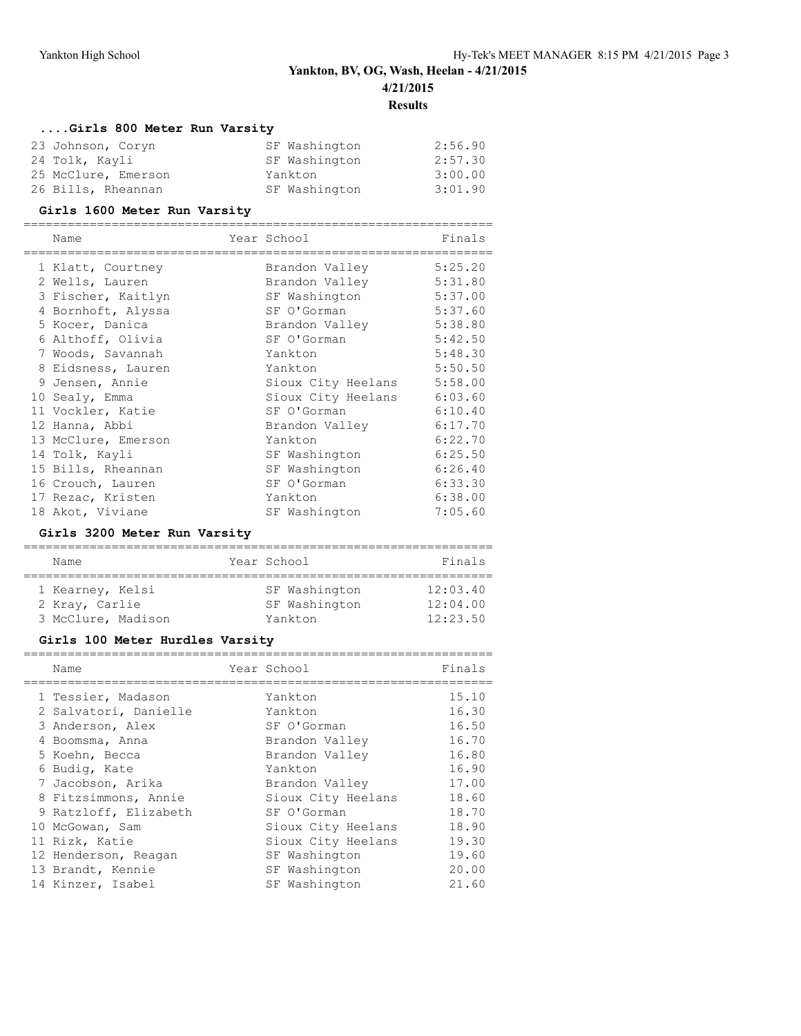**Results**

# **....Girls 800 Meter Run Varsity**

| 23 Johnson, Coryn   | SF Washington | 2:56.90 |
|---------------------|---------------|---------|
| 24 Tolk, Kayli      | SF Washington | 2:57.30 |
| 25 McClure, Emerson | Yankton       | 3:00.00 |
| 26 Bills, Rheannan  | SF Washington | 3:01.90 |

#### **Girls 1600 Meter Run Varsity**

| Name                | Year School        | Finals  |
|---------------------|--------------------|---------|
| 1 Klatt, Courtney   | Brandon Valley     | 5:25.20 |
| 2 Wells, Lauren     | Brandon Valley     | 5:31.80 |
| 3 Fischer, Kaitlyn  | SF Washington      | 5:37.00 |
| 4 Bornhoft, Alyssa  | SF O'Gorman        | 5:37.60 |
| 5 Kocer, Danica     | Brandon Valley     | 5:38.80 |
| 6 Althoff, Olivia   | SF O'Gorman        | 5:42.50 |
| 7 Woods, Savannah   | Yankton            | 5:48.30 |
| 8 Eidsness, Lauren  | Yankton            | 5:50.50 |
| 9 Jensen, Annie     | Sioux City Heelans | 5:58.00 |
| 10 Sealy, Emma      | Sioux City Heelans | 6:03.60 |
| 11 Vockler, Katie   | SF O'Gorman        | 6:10.40 |
| 12 Hanna, Abbi      | Brandon Valley     | 6:17.70 |
| 13 McClure, Emerson | Yankton            | 6:22.70 |
| 14 Tolk, Kayli      | SF Washington      | 6:25.50 |
| 15 Bills, Rheannan  | SF Washington      | 6:26.40 |
| 16 Crouch, Lauren   | SF O'Gorman        | 6:33.30 |
| 17 Rezac, Kristen   | Yankton            | 6:38.00 |
| 18 Akot, Viviane    | SF Washington      | 7:05.60 |

#### **Girls 3200 Meter Run Varsity**

| Name                                                     | Year School                               | Finals                           |  |  |  |
|----------------------------------------------------------|-------------------------------------------|----------------------------------|--|--|--|
| 1 Kearney, Kelsi<br>2 Kray, Carlie<br>3 McClure, Madison | SF Washington<br>SF Washington<br>Yankton | 12:03.40<br>12:04.00<br>12:23.50 |  |  |  |

# **Girls 100 Meter Hurdles Varsity**

| Name                  | Year School        | Finals |
|-----------------------|--------------------|--------|
| 1 Tessier, Madason    | Yankton            | 15.10  |
| 2 Salvatori, Danielle | Yankton            | 16.30  |
| 3 Anderson, Alex      | SF O'Gorman        | 16.50  |
| 4 Boomsma, Anna       | Brandon Valley     | 16.70  |
| 5 Koehn, Becca        | Brandon Valley     | 16.80  |
| 6 Budig, Kate         | Yankton            | 16.90  |
| 7 Jacobson, Arika     | Brandon Valley     | 17.00  |
| 8 Fitzsimmons, Annie  | Sioux City Heelans | 18.60  |
| 9 Ratzloff, Elizabeth | SF O'Gorman        | 18.70  |
| 10 McGowan, Sam       | Sioux City Heelans | 18.90  |
| 11 Rizk, Katie        | Sioux City Heelans | 19.30  |
| 12 Henderson, Reagan  | SF Washington      | 19.60  |
| 13 Brandt, Kennie     | SF Washington      | 20.00  |
| 14 Kinzer, Isabel     | SF Washington      | 21.60  |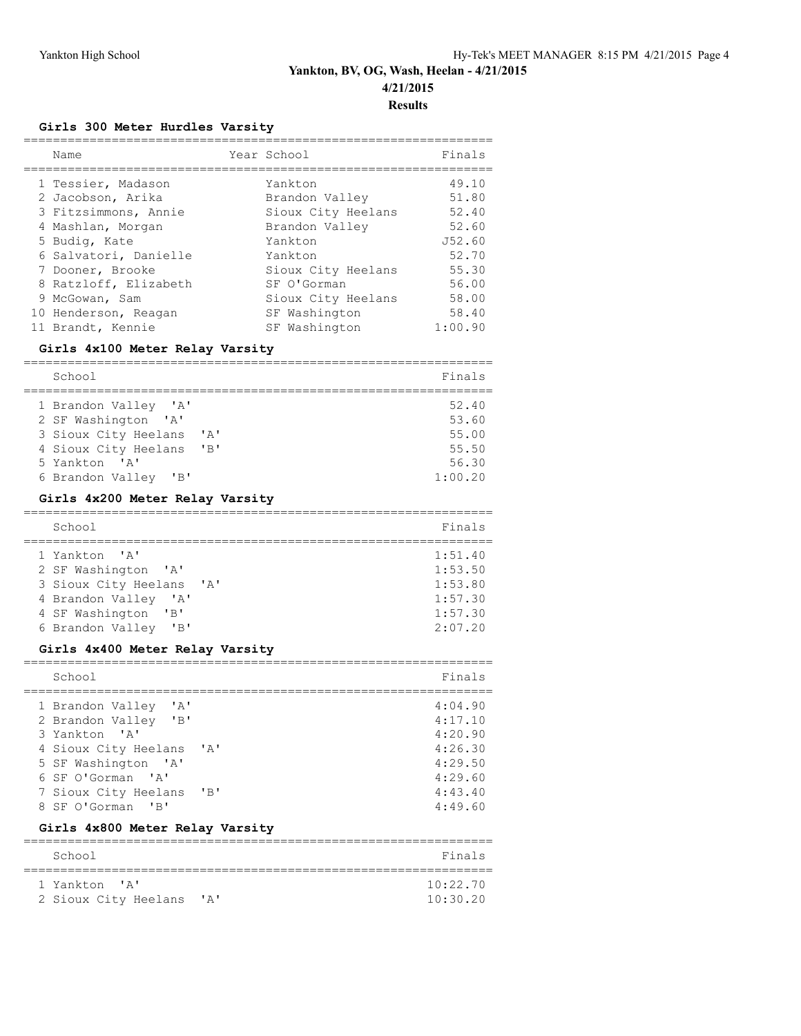#### **Girls 300 Meter Hurdles Varsity**

| Name                  | Year School        | Finals  |
|-----------------------|--------------------|---------|
| 1 Tessier, Madason    | Yankton            | 49.10   |
| 2 Jacobson, Arika     | Brandon Valley     | 51.80   |
| 3 Fitzsimmons, Annie  | Sioux City Heelans | 52.40   |
| 4 Mashlan, Morgan     | Brandon Valley     | 52.60   |
| 5 Budig, Kate         | Yankton            | J52.60  |
| 6 Salvatori, Danielle | Yankton            | 52.70   |
| 7 Dooner, Brooke      | Sioux City Heelans | 55.30   |
| 8 Ratzloff, Elizabeth | SF O'Gorman        | 56.00   |
| 9 McGowan, Sam        | Sioux City Heelans | 58.00   |
| 10 Henderson, Reagan  | SF Washington      | 58.40   |
| 11 Brandt, Kennie     | SF Washington      | 1:00.90 |

#### **Girls 4x100 Meter Relay Varsity**

| School                                            | Finals  |
|---------------------------------------------------|---------|
| 1 Brandon Valley 'A'                              | 52.40   |
| 2 SF Washington 'A'                               | 53.60   |
| 3 Sioux City Heelans<br>$^{\prime}$ A $^{\prime}$ | 55.00   |
| 4 Sioux City Heelans<br>$'$ $B'$                  | 55.50   |
| 5 Yankton 'A'                                     | 56.30   |
| 6 Brandon Valley<br>$^{\prime}$ B <sup>'</sup>    | 1:00.20 |

#### **Girls 4x200 Meter Relay Varsity**

| School                                                                                        | Finals  |
|-----------------------------------------------------------------------------------------------|---------|
| 1 Yankton 'A'                                                                                 | 1:51.40 |
| 2 SF Washington 'A'                                                                           | 1:53.50 |
| 3 Sioux City Heelans 'A'                                                                      | 1:53.80 |
| 4 Brandon Valley<br>$^{\bullet}$ A $^{\bullet}$                                               | 1:57.30 |
| 4 SF Washington<br>$\overline{\phantom{a}}$ $\overline{\phantom{a}}$ $\overline{\phantom{a}}$ | 1:57.30 |
| 6 Brandon Valley<br>$\mathbf{F}$                                                              | 2:07.20 |

#### **Girls 4x400 Meter Relay Varsity**

| School                                        | Finals  |
|-----------------------------------------------|---------|
| $\mathsf{r}_{\mathsf{A}}$<br>1 Brandon Valley | 4:04.90 |
| $'$ $B'$<br>2 Brandon Valley                  | 4:17.10 |
| 3 Yankton 'A'                                 | 4:20.90 |
| 4 Sioux City Heelans 'A'                      | 4:26.30 |
| 5 SF Washington 'A'                           | 4:29.50 |
| 6 SF O'Gorman 'A'                             | 4:29.60 |
| 7 Sioux City Heelans 'B'                      | 4:43.40 |
| 8 SF O'Gorman<br>$^{\prime}$ B <sup>t</sup>   | 4:49.60 |

#### **Girls 4x800 Meter Relay Varsity**

| School               |                                | Finals   |
|----------------------|--------------------------------|----------|
|                      |                                |          |
| 1 Yankton 'A'        |                                | 10:22.70 |
| 2 Sioux City Heelans | $\mathsf{I} \wedge \mathsf{I}$ | 10:30.20 |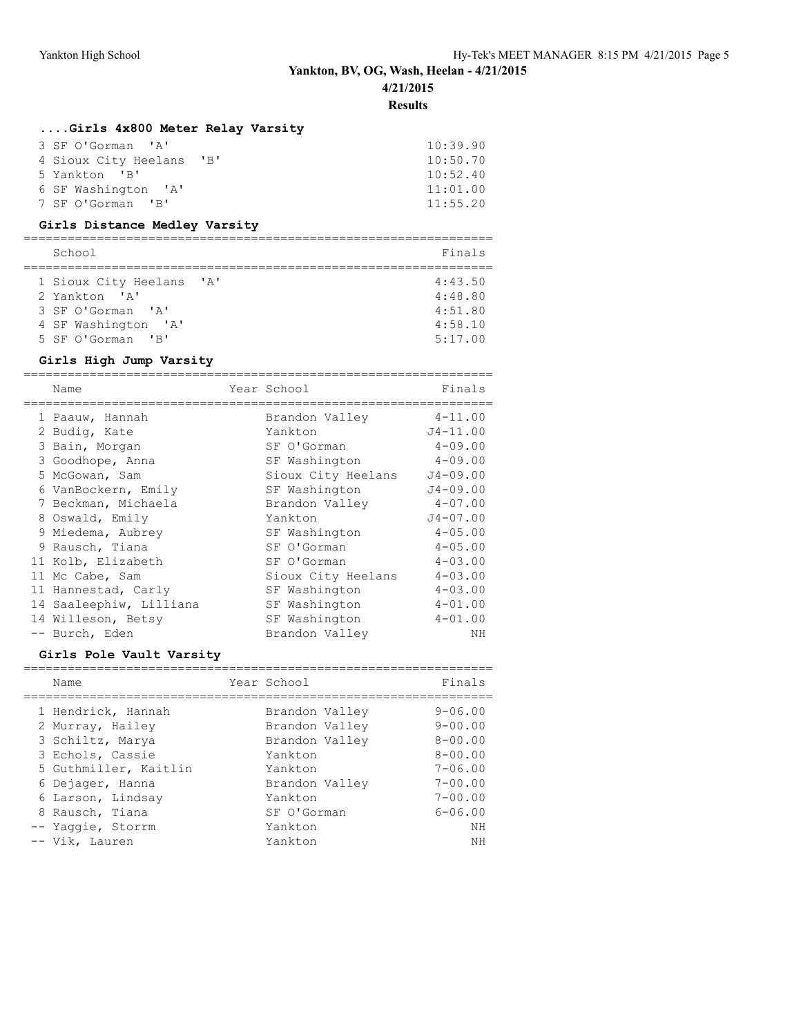**Results**

# **....Girls 4x800 Meter Relay Varsity**

| 3 SF O'Gorman 'A'                                  | 10:39.90 |
|----------------------------------------------------|----------|
| 4 Sioux City Heelans<br>$^{\prime}$ B <sup>1</sup> | 10:50.70 |
| 5 Yankton 'B'                                      | 10:52.40 |
| 6 SF Washington 'A'                                | 11:01.00 |
| 7 SF O'Gorman 'B'                                  | 11:55.20 |

## **Girls Distance Medley Varsity**

| School                                                                                                     | Finals                                              |
|------------------------------------------------------------------------------------------------------------|-----------------------------------------------------|
| 1 Sioux City Heelans 'A'<br>2 Yankton 'A'<br>3 SF O'Gorman 'A'<br>4 SF Washington 'A'<br>5 SF O'Gorman 'B' | 4:43.50<br>4:48.80<br>4:51.80<br>4:58.10<br>5:17.00 |

### **Girls High Jump Varsity**

| Name                    | Year School        | Finals       |
|-------------------------|--------------------|--------------|
| 1 Paauw, Hannah         | Brandon Valley     | $4 - 11.00$  |
| 2 Budig, Kate           | Yankton            | $J4 - 11.00$ |
| 3 Bain, Morgan          | SF O'Gorman        | $4 - 09.00$  |
| 3 Goodhope, Anna        | SF Washington      | $4 - 09.00$  |
| 5 McGowan, Sam          | Sioux City Heelans | $J4 - 09.00$ |
| 6 VanBockern, Emily     | SF Washington      | $J4 - 09.00$ |
| 7 Beckman, Michaela     | Brandon Valley     | $4 - 07.00$  |
| 8 Oswald, Emily         | Yankton            | $J4 - 07.00$ |
| 9 Miedema, Aubrey       | SF Washington      | $4 - 05.00$  |
| 9 Rausch, Tiana         | SF O'Gorman        | $4 - 05.00$  |
| 11 Kolb, Elizabeth      | SF O'Gorman        | $4 - 03.00$  |
| 11 Mc Cabe, Sam         | Sioux City Heelans | $4 - 03.00$  |
| 11 Hannestad, Carly     | SF Washington      | $4 - 03.00$  |
| 14 Saaleephiw, Lilliana | SF Washington      | $4 - 01.00$  |
| 14 Willeson, Betsy      | SF Washington      | $4 - 01.00$  |
| -- Burch, Eden          | Brandon Valley     | ΝH           |

#### **Girls Pole Vault Varsity**

| Name                  | Year School    | Finals      |
|-----------------------|----------------|-------------|
| 1 Hendrick, Hannah    | Brandon Valley | $9 - 06.00$ |
| 2 Murray, Hailey      | Brandon Valley | $9 - 00.00$ |
| 3 Schiltz, Marya      | Brandon Valley | $8 - 00.00$ |
| 3 Echols, Cassie      | Yankton        | $8 - 00.00$ |
| 5 Guthmiller, Kaitlin | Yankton        | $7 - 06.00$ |
| 6 Dejager, Hanna      | Brandon Valley | $7 - 00.00$ |
| 6 Larson, Lindsay     | Yankton        | $7 - 00.00$ |
| 8 Rausch, Tiana       | SF O'Gorman    | $6 - 06.00$ |
| -- Yaggie, Storrm     | Yankton        | NΗ          |
| -- Vik, Lauren        | Yankton        | NΗ          |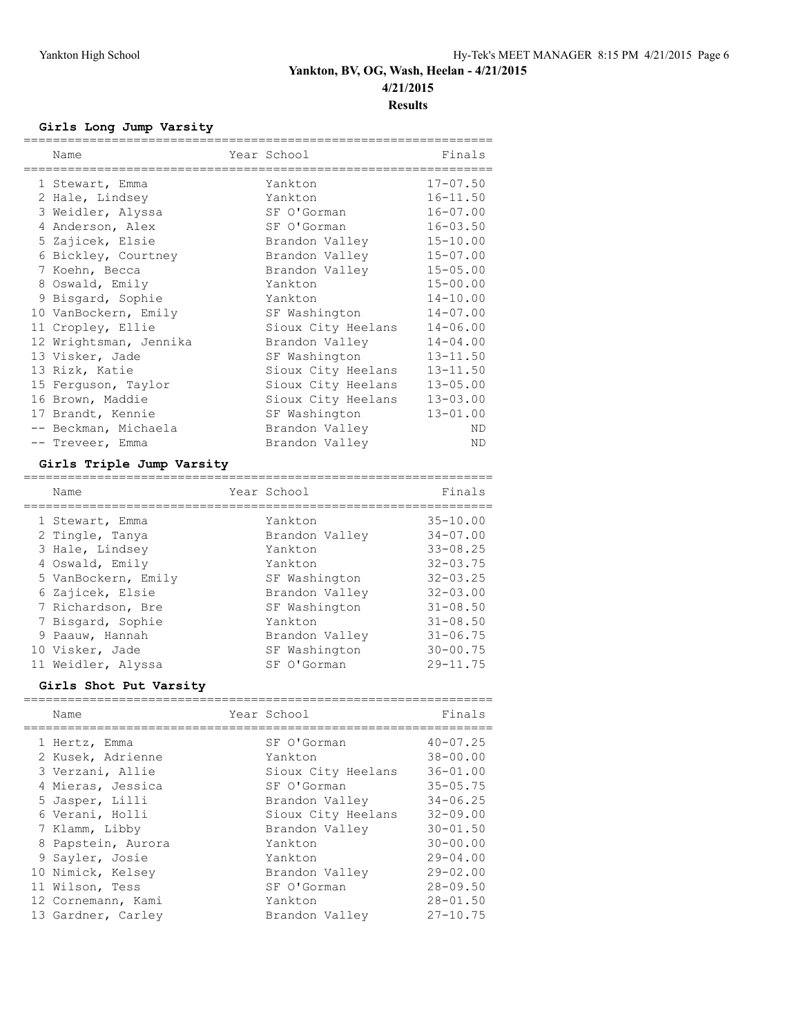#### **Girls Long Jump Varsity**

| Name                   | Year School        | Finals       |
|------------------------|--------------------|--------------|
| 1 Stewart, Emma        | Yankton            | $17 - 07.50$ |
| 2 Hale, Lindsey        | Yankton            | $16 - 11.50$ |
| 3 Weidler, Alyssa      | SF O'Gorman        | $16 - 07.00$ |
| 4 Anderson, Alex       | SF O'Gorman        | $16 - 03.50$ |
| 5 Zajicek, Elsie       | Brandon Valley     | $15 - 10.00$ |
| 6 Bickley, Courtney    | Brandon Valley     | $15 - 07.00$ |
| 7 Koehn, Becca         | Brandon Valley     | $15 - 05.00$ |
| 8 Oswald, Emily        | Yankton            | $15 - 00.00$ |
| 9 Bisgard, Sophie      | Yankton            | $14 - 10.00$ |
| 10 VanBockern, Emily   | SF Washington      | $14 - 07.00$ |
| 11 Cropley, Ellie      | Sioux City Heelans | $14 - 06.00$ |
| 12 Wrightsman, Jennika | Brandon Valley     | $14 - 04.00$ |
| 13 Visker, Jade        | SF Washington      | $13 - 11.50$ |
| 13 Rizk, Katie         | Sioux City Heelans | $13 - 11.50$ |
| 15 Ferguson, Taylor    | Sioux City Heelans | $13 - 05.00$ |
| 16 Brown, Maddie       | Sioux City Heelans | $13 - 03.00$ |
| 17 Brandt, Kennie      | SF Washington      | $13 - 01.00$ |
| -- Beckman, Michaela   | Brandon Valley     | ND.          |
| -- Treveer, Emma       | Brandon Valley     | ND.          |

#### **Girls Triple Jump Varsity**

|  | Name                                                                                                                                                                                                | Year School                                                                                                                                       | Finals                                                                                                                                                       |
|--|-----------------------------------------------------------------------------------------------------------------------------------------------------------------------------------------------------|---------------------------------------------------------------------------------------------------------------------------------------------------|--------------------------------------------------------------------------------------------------------------------------------------------------------------|
|  | 1 Stewart, Emma<br>2 Tingle, Tanya<br>3 Hale, Lindsey<br>4 Oswald, Emily<br>5 VanBockern, Emily<br>6 Zajicek, Elsie<br>7 Richardson, Bre<br>7 Bisgard, Sophie<br>9 Paauw, Hannah<br>10 Visker, Jade | Yankton<br>Brandon Valley<br>Yankton<br>Yankton<br>SF Washington<br>Brandon Valley<br>SF Washington<br>Yankton<br>Brandon Valley<br>SF Washington | $35 - 10.00$<br>$34 - 07.00$<br>$33 - 08.25$<br>$32 - 03.75$<br>$32 - 03.25$<br>$32 - 03.00$<br>$31 - 08.50$<br>$31 - 08.50$<br>$31 - 06.75$<br>$30 - 00.75$ |
|  | 11 Weidler, Alyssa                                                                                                                                                                                  | SF O'Gorman                                                                                                                                       | $29 - 11.75$                                                                                                                                                 |
|  |                                                                                                                                                                                                     |                                                                                                                                                   |                                                                                                                                                              |

#### **Girls Shot Put Varsity**

| Name               | Year School        | Finals       |
|--------------------|--------------------|--------------|
| 1 Hertz, Emma      | SF O'Gorman        | $40 - 07.25$ |
| 2 Kusek, Adrienne  | Yankton            | $38 - 00.00$ |
| 3 Verzani, Allie   | Sioux City Heelans | $36 - 01.00$ |
| 4 Mieras, Jessica  | SF O'Gorman        | $35 - 05.75$ |
| 5 Jasper, Lilli    | Brandon Valley     | $34 - 06.25$ |
| 6 Verani, Holli    | Sioux City Heelans | $32 - 09.00$ |
| 7 Klamm, Libby     | Brandon Valley     | $30 - 01.50$ |
| 8 Papstein, Aurora | Yankton            | $30 - 00.00$ |
| 9 Sayler, Josie    | Yankton            | $29 - 04.00$ |
| 10 Nimick, Kelsey  | Brandon Valley     | $29 - 02.00$ |
| 11 Wilson, Tess    | SF O'Gorman        | $28 - 09.50$ |
| 12 Cornemann, Kami | Yankton            | $28 - 01.50$ |
| 13 Gardner, Carley | Brandon Valley     | $27 - 10.75$ |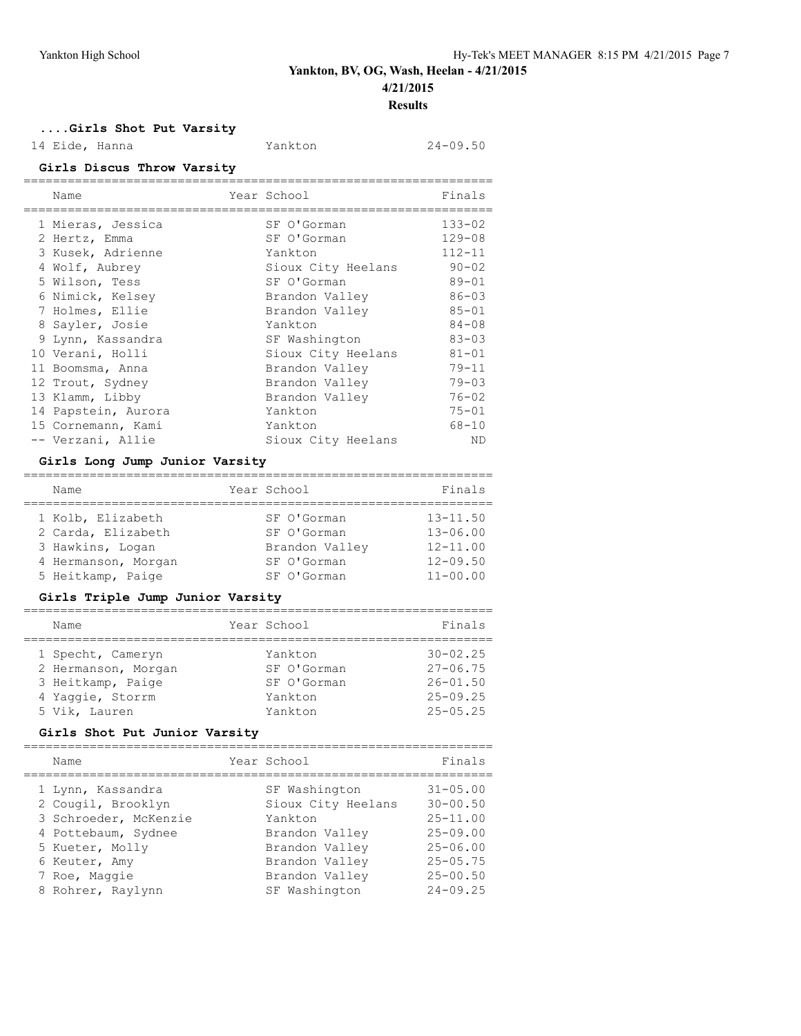**Results**

# **....Girls Shot Put Varsity**

14 Eide, Hanna Yankton 24-09.50

#### **Girls Discus Throw Varsity**

| Name                | Year School        | Finals     |
|---------------------|--------------------|------------|
| 1 Mieras, Jessica   | SF O'Gorman        | $133 - 02$ |
| 2 Hertz, Emma       | SF O'Gorman        | $129 - 08$ |
| 3 Kusek, Adrienne   | Yankton            | $112 - 11$ |
| 4 Wolf, Aubrey      | Sioux City Heelans | $90 - 02$  |
| 5 Wilson, Tess      | SF O'Gorman        | $89 - 01$  |
| 6 Nimick, Kelsey    | Brandon Valley     | $86 - 03$  |
| 7 Holmes, Ellie     | Brandon Valley     | $85 - 01$  |
| 8 Sayler, Josie     | Yankton            | $84 - 08$  |
| 9 Lynn, Kassandra   | SF Washington      | $83 - 03$  |
| 10 Verani, Holli    | Sioux City Heelans | $81 - 01$  |
| 11 Boomsma, Anna    | Brandon Valley     | $79 - 11$  |
| 12 Trout, Sydney    | Brandon Valley     | $79 - 03$  |
| 13 Klamm, Libby     | Brandon Valley     | $76 - 02$  |
| 14 Papstein, Aurora | Yankton            | $75 - 01$  |
| 15 Cornemann, Kami  | Yankton            | $68 - 10$  |
| -- Verzani, Allie   | Sioux City Heelans | ND         |

#### **Girls Long Jump Junior Varsity**

| Name                | Year School    | Finals       |
|---------------------|----------------|--------------|
| 1 Kolb, Elizabeth   | SF O'Gorman    | $13 - 11.50$ |
| 2 Carda, Elizabeth  | SF O'Gorman    | $13 - 06.00$ |
| 3 Hawkins, Logan    | Brandon Valley | $12 - 11.00$ |
| 4 Hermanson, Morgan | SF O'Gorman    | $12 - 09.50$ |
| 5 Heitkamp, Paige   | SF O'Gorman    | $11 - 00.00$ |

#### **Girls Triple Jump Junior Varsity**

| Name                | Year School | Finals       |
|---------------------|-------------|--------------|
| 1 Specht, Cameryn   | Yankton     | $30 - 02.25$ |
| 2 Hermanson, Morgan | SF O'Gorman | $27 - 06.75$ |
| 3 Heitkamp, Paige   | SF O'Gorman | $26 - 01.50$ |
| 4 Yaqqie, Storrm    | Yankton     | $25 - 09.25$ |
| 5 Vik, Lauren       | Yankton     | $25 - 05.25$ |

# **Girls Shot Put Junior Varsity**

| Name                  | Year School        | Finals       |
|-----------------------|--------------------|--------------|
| 1 Lynn, Kassandra     | SF Washington      | $31 - 05.00$ |
| 2 Cougil, Brooklyn    | Sioux City Heelans | $30 - 00.50$ |
| 3 Schroeder, McKenzie | Yankton            | $25 - 11.00$ |
| 4 Pottebaum, Sydnee   | Brandon Valley     | $25 - 09.00$ |
| 5 Kueter, Molly       | Brandon Valley     | $25 - 06.00$ |
| 6 Keuter, Amy         | Brandon Valley     | $25 - 05.75$ |
| 7 Roe, Maggie         | Brandon Valley     | $25 - 00.50$ |
| 8 Rohrer, Raylynn     | SF Washington      | $24 - 09.25$ |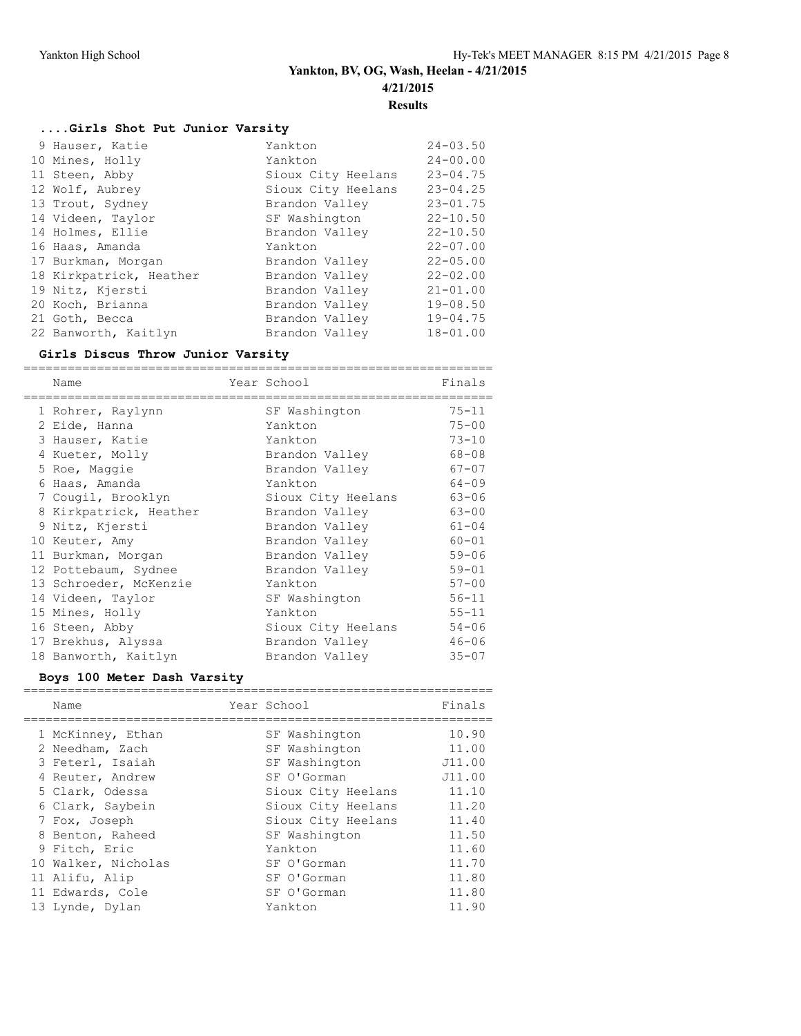**Results**

# **....Girls Shot Put Junior Varsity**

| 9 Hauser, Katie         | Yankton            | $24 - 03.50$ |
|-------------------------|--------------------|--------------|
| 10 Mines, Holly         | Yankton            | $24 - 00.00$ |
| 11 Steen, Abby          | Sioux City Heelans | $23 - 04.75$ |
| 12 Wolf, Aubrey         | Sioux City Heelans | $23 - 04.25$ |
| 13 Trout, Sydney        | Brandon Valley     | $23 - 01.75$ |
| 14 Videen, Taylor       | SF Washington      | $22 - 10.50$ |
| 14 Holmes, Ellie        | Brandon Valley     | $22 - 10.50$ |
| 16 Haas, Amanda         | Yankton            | $22 - 07.00$ |
| 17 Burkman, Morgan      | Brandon Valley     | $22 - 05.00$ |
| 18 Kirkpatrick, Heather | Brandon Valley     | $22 - 02.00$ |
| 19 Nitz, Kjersti        | Brandon Valley     | $21 - 01.00$ |
| 20 Koch, Brianna        | Brandon Valley     | $19 - 08.50$ |
| 21 Goth, Becca          | Brandon Valley     | $19 - 04.75$ |
| 22 Banworth, Kaitlyn    | Brandon Valley     | $18 - 01.00$ |

# **Girls Discus Throw Junior Varsity**

| Name                   | Year School        | Finals    |
|------------------------|--------------------|-----------|
| 1 Rohrer, Raylynn      | SF Washington      | $75 - 11$ |
| 2 Eide, Hanna          | Yankton            | $75 - 00$ |
| 3 Hauser, Katie        | Yankton            | $73 - 10$ |
| 4 Kueter, Molly        | Brandon Valley     | $68 - 08$ |
| 5 Roe, Maggie          | Brandon Valley     | $67 - 07$ |
| 6 Haas, Amanda         | Yankton            | $64 - 09$ |
| 7 Cougil, Brooklyn     | Sioux City Heelans | $63 - 06$ |
| 8 Kirkpatrick, Heather | Brandon Valley     | $63 - 00$ |
| 9 Nitz, Kjersti        | Brandon Valley     | $61 - 04$ |
| 10 Keuter, Amy         | Brandon Valley     | $60 - 01$ |
| 11 Burkman, Morgan     | Brandon Valley     | $59 - 06$ |
| 12 Pottebaum, Sydnee   | Brandon Valley     | $59 - 01$ |
| 13 Schroeder, McKenzie | Yankton            | $57 - 00$ |
| 14 Videen, Taylor      | SF Washington      | $56 - 11$ |
| 15 Mines, Holly        | Yankton            | $55 - 11$ |
| 16 Steen, Abby         | Sioux City Heelans | $54 - 06$ |
| 17 Brekhus, Alyssa     | Brandon Valley     | $46 - 06$ |
| 18 Banworth, Kaitlyn   | Brandon Valley     | $35 - 07$ |

#### **Boys 100 Meter Dash Varsity**

| Name                | Year School        | Finals |
|---------------------|--------------------|--------|
| 1 McKinney, Ethan   | SF Washington      | 10.90  |
| 2 Needham, Zach     | SF Washington      | 11.00  |
| 3 Feterl, Isaiah    | SF Washington      | J11.00 |
| 4 Reuter, Andrew    | SF O'Gorman        | J11.00 |
| 5 Clark, Odessa     | Sioux City Heelans | 11.10  |
| 6 Clark, Saybein    | Sioux City Heelans | 11.20  |
| 7 Fox, Joseph       | Sioux City Heelans | 11.40  |
| 8 Benton, Raheed    | SF Washington      | 11.50  |
| 9 Fitch, Eric       | Yankton            | 11.60  |
| 10 Walker, Nicholas | SF O'Gorman        | 11.70  |
| 11 Alifu, Alip      | SF O'Gorman        | 11.80  |
| 11 Edwards, Cole    | SF O'Gorman        | 11.80  |
| 13 Lynde, Dylan     | Yankton            | 11.90  |
|                     |                    |        |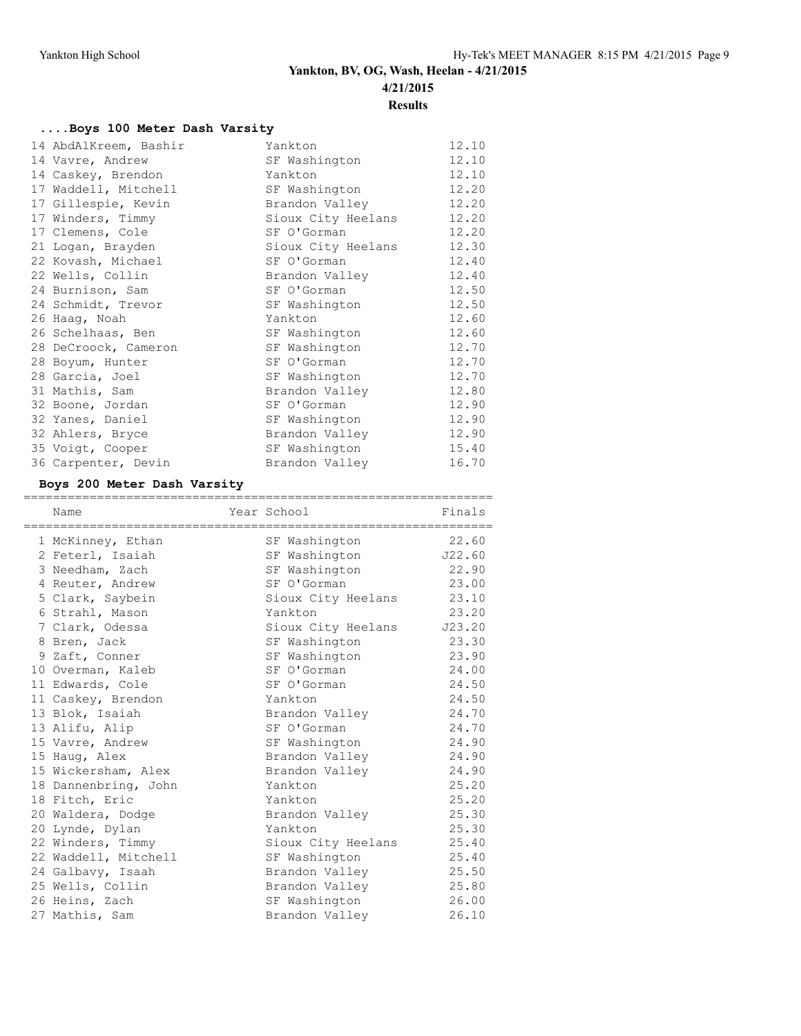# **Results**

# **....Boys 100 Meter Dash Varsity**

|  | 14 AbdAlKreem, Bashir | Yankton            | 12.10 |
|--|-----------------------|--------------------|-------|
|  | 14 Vavre, Andrew      | SF Washington      | 12.10 |
|  | 14 Caskey, Brendon    | Yankton            | 12.10 |
|  | 17 Waddell, Mitchell  | SF Washington      | 12.20 |
|  | 17 Gillespie, Kevin   | Brandon Valley     | 12.20 |
|  | 17 Winders, Timmy     | Sioux City Heelans | 12.20 |
|  | 17 Clemens, Cole      | SF O'Gorman        | 12.20 |
|  | 21 Logan, Brayden     | Sioux City Heelans | 12.30 |
|  | 22 Kovash, Michael    | SF O'Gorman        | 12.40 |
|  | 22 Wells, Collin      | Brandon Valley     | 12.40 |
|  | 24 Burnison, Sam      | SF O'Gorman        | 12.50 |
|  | 24 Schmidt, Trevor    | SF Washington      | 12.50 |
|  | 26 Haaq, Noah         | Yankton            | 12.60 |
|  | 26 Schelhaas, Ben     | SF Washington      | 12.60 |
|  | 28 DeCroock, Cameron  | SF Washington      | 12.70 |
|  | 28 Boyum, Hunter      | SF O'Gorman        | 12.70 |
|  | 28 Garcia, Joel       | SF Washington      | 12.70 |
|  | 31 Mathis, Sam        | Brandon Valley     | 12.80 |
|  | 32 Boone, Jordan      | SF O'Gorman        | 12.90 |
|  | 32 Yanes, Daniel      | SF Washington      | 12.90 |
|  | 32 Ahlers, Bryce      | Brandon Valley     | 12.90 |
|  | 35 Voigt, Cooper      | SF Washington      | 15.40 |
|  | 36 Carpenter, Devin   | Brandon Valley     | 16.70 |
|  |                       |                    |       |

#### **Boys 200 Meter Dash Varsity**

| Name                 | Year School               | Finals |
|----------------------|---------------------------|--------|
| 1 McKinney, Ethan    | SF Washington             | 22.60  |
| 2 Feterl, Isaiah     | SF Washington             | J22.60 |
| 3 Needham, Zach      | SF Washington             | 22.90  |
| 4 Reuter, Andrew     | SF O'Gorman               | 23.00  |
| 5 Clark, Saybein     | Sioux City Heelans        | 23.10  |
| 6 Strahl, Mason      | Yankton                   | 23.20  |
| 7 Clark, Odessa      | Sioux City Heelans J23.20 |        |
| 8 Bren, Jack         | SF Washington             | 23.30  |
| 9 Zaft, Conner       | SF Washington             | 23.90  |
| 10 Overman, Kaleb    | SF O'Gorman               | 24.00  |
| 11 Edwards, Cole     | SF O'Gorman               | 24.50  |
| 11 Caskey, Brendon   | Yankton                   | 24.50  |
| 13 Blok, Isaiah      | Brandon Valley            | 24.70  |
| 13 Alifu, Alip       | SF O'Gorman               | 24.70  |
| 15 Vavre, Andrew     | SF Washington             | 24.90  |
| 15 Haug, Alex        | Brandon Valley            | 24.90  |
| 15 Wickersham, Alex  | Brandon Valley            | 24.90  |
| 18 Dannenbring, John | Yankton                   | 25.20  |
| 18 Fitch, Eric       | Yankton                   | 25.20  |
| 20 Waldera, Dodge    | Brandon Valley            | 25.30  |
| 20 Lynde, Dylan      | Yankton                   | 25.30  |
| 22 Winders, Timmy    | Sioux City Heelans        | 25.40  |
| 22 Waddell, Mitchell | SF Washington             | 25.40  |
| 24 Galbavy, Isaah    | Brandon Valley            | 25.50  |
| 25 Wells, Collin     | Brandon Valley            | 25.80  |
| 26 Heins, Zach       | SF Washington             | 26.00  |
| 27 Mathis, Sam       | Brandon Valley            | 26.10  |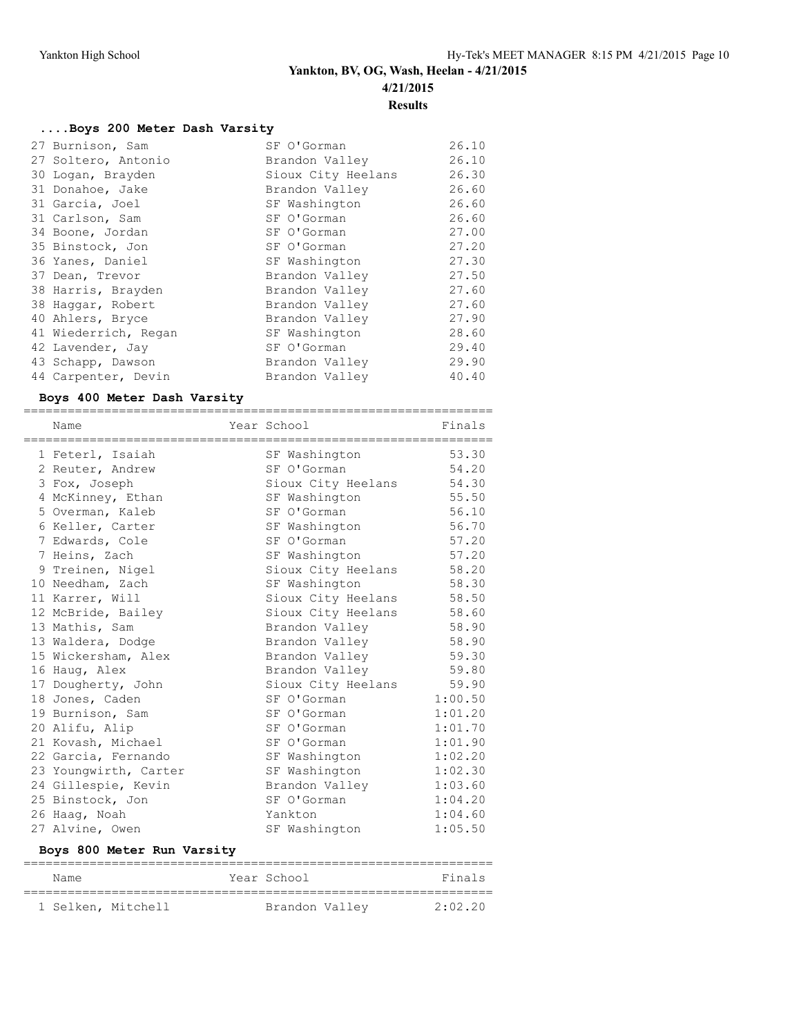# **....Boys 200 Meter Dash Varsity**

|  | 27 Burnison, Sam     | SF O'Gorman        | 26.10 |
|--|----------------------|--------------------|-------|
|  | 27 Soltero, Antonio  | Brandon Valley     | 26.10 |
|  | 30 Logan, Brayden    | Sioux City Heelans | 26.30 |
|  | 31 Donahoe, Jake     | Brandon Valley     | 26.60 |
|  | 31 Garcia, Joel      | SF Washington      | 26.60 |
|  | 31 Carlson, Sam      | SF O'Gorman        | 26.60 |
|  | 34 Boone, Jordan     | SF O'Gorman        | 27.00 |
|  | 35 Binstock, Jon     | SF O'Gorman        | 27.20 |
|  | 36 Yanes, Daniel     | SF Washington      | 27.30 |
|  | 37 Dean, Trevor      | Brandon Valley     | 27.50 |
|  | 38 Harris, Brayden   | Brandon Valley     | 27.60 |
|  | 38 Haqqar, Robert    | Brandon Valley     | 27.60 |
|  | 40 Ahlers, Bryce     | Brandon Valley     | 27.90 |
|  | 41 Wiederrich, Regan | SF Washington      | 28.60 |
|  | 42 Lavender, Jay     | SF O'Gorman        | 29.40 |
|  | 43 Schapp, Dawson    | Brandon Valley     | 29.90 |
|  | 44 Carpenter, Devin  | Brandon Valley     | 40.40 |
|  |                      |                    |       |

#### **Boys 400 Meter Dash Varsity**

| Name                  | Year School        | Finals  |
|-----------------------|--------------------|---------|
| 1 Feterl, Isaiah      | SF Washington      | 53.30   |
| 2 Reuter, Andrew      | SF O'Gorman        | 54.20   |
| 3 Fox, Joseph         | Sioux City Heelans | 54.30   |
| 4 McKinney, Ethan     | SF Washington      | 55.50   |
| 5 Overman, Kaleb      | SF O'Gorman        | 56.10   |
| 6 Keller, Carter      | SF Washington      | 56.70   |
| 7 Edwards, Cole       | SF O'Gorman        | 57.20   |
| 7 Heins, Zach         | SF Washington      | 57.20   |
| 9 Treinen, Nigel      | Sioux City Heelans | 58.20   |
| 10 Needham, Zach      | SF Washington      | 58.30   |
| 11 Karrer, Will       | Sioux City Heelans | 58.50   |
| 12 McBride, Bailey    | Sioux City Heelans | 58.60   |
| 13 Mathis, Sam        | Brandon Valley     | 58.90   |
| 13 Waldera, Dodge     | Brandon Valley     | 58.90   |
| 15 Wickersham, Alex   | Brandon Valley     | 59.30   |
| 16 Haug, Alex         | Brandon Valley     | 59.80   |
| 17 Dougherty, John    | Sioux City Heelans | 59.90   |
| 18 Jones, Caden       | SF O'Gorman        | 1:00.50 |
| 19 Burnison, Sam      | SF O'Gorman        | 1:01.20 |
| 20 Alifu, Alip        | SF O'Gorman        | 1:01.70 |
| 21 Kovash, Michael    | SF O'Gorman        | 1:01.90 |
| 22 Garcia, Fernando   | SF Washington      | 1:02.20 |
| 23 Youngwirth, Carter | SF Washington      | 1:02.30 |
| 24 Gillespie, Kevin   | Brandon Valley     | 1:03.60 |
| 25 Binstock, Jon      | SF O'Gorman        | 1:04.20 |
| 26 Haaq, Noah         | Yankton            | 1:04.60 |
| 27 Alvine, Owen       | SF Washington      | 1:05.50 |

#### **Boys 800 Meter Run Varsity**

| Name               | Year School    | Finals  |
|--------------------|----------------|---------|
| 1 Selken, Mitchell | Brandon Valley | 2:02:20 |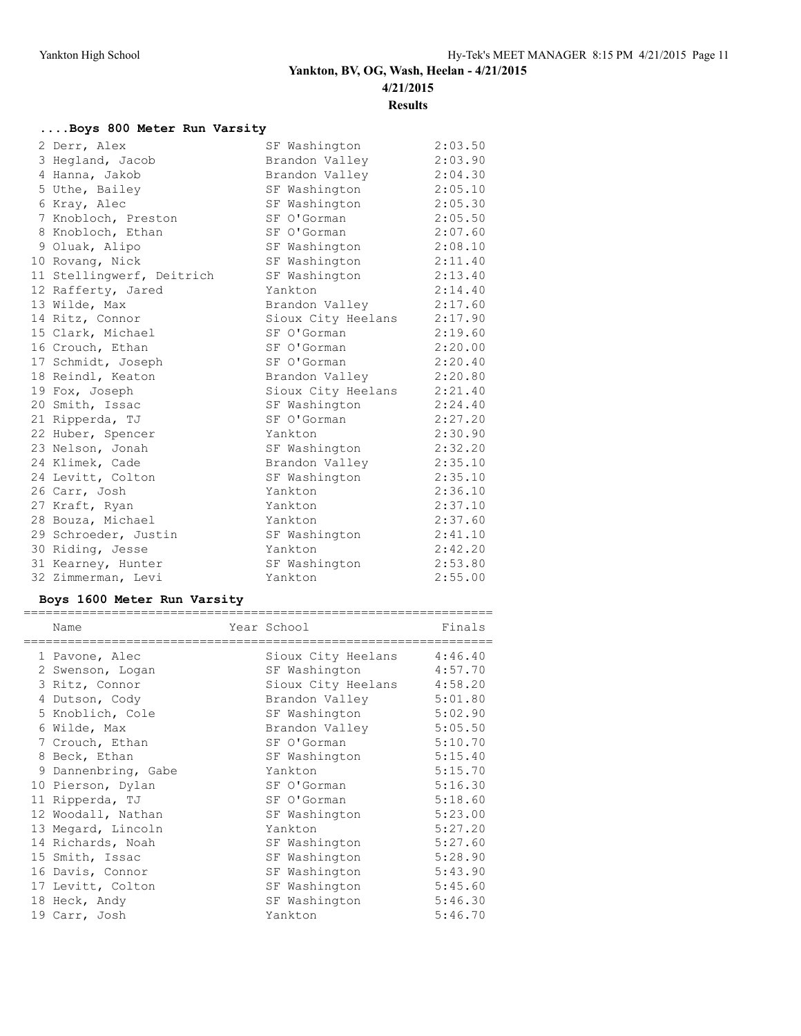**4/21/2015**

**Results**

# **....Boys 800 Meter Run Varsity**

|  | 2 Derr, Alex              | SF Washington          | 2:03.50 |
|--|---------------------------|------------------------|---------|
|  | 3 Hegland, Jacob          | Brandon Valley         | 2:03.90 |
|  | 4 Hanna, Jakob            | Brandon Valley         | 2:04.30 |
|  | 5 Uthe, Bailey            | SF Washington          | 2:05.10 |
|  | 6 Kray, Alec              | SF Washington          | 2:05.30 |
|  | 7 Knobloch, Preston       | SF O'Gorman            | 2:05.50 |
|  | 8 Knobloch, Ethan         | SF O'Gorman            | 2:07.60 |
|  | 9 Oluak, Alipo            | SF Washington          | 2:08.10 |
|  | 10 Rovang, Nick           | SF Washington          | 2:11.40 |
|  | 11 Stellingwerf, Deitrich | SF Washington          | 2:13.40 |
|  | 12 Rafferty, Jared        | Yankton                | 2:14.40 |
|  | 13 Wilde, Max             | Brandon Valley 2:17.60 |         |
|  | 14 Ritz, Connor           | Sioux City Heelans     | 2:17.90 |
|  | 15 Clark, Michael         | SF O'Gorman            | 2:19.60 |
|  | 16 Crouch, Ethan          | SF O'Gorman            | 2:20.00 |
|  | 17 Schmidt, Joseph        | SF O'Gorman            | 2:20.40 |
|  | 18 Reindl, Keaton         | Brandon Valley 2:20.80 |         |
|  | 19 Fox, Joseph            | Sioux City Heelans     | 2:21.40 |
|  | 20 Smith, Issac           | SF Washington          | 2:24.40 |
|  | 21 Ripperda, TJ           | SF O'Gorman            | 2:27.20 |
|  | 22 Huber, Spencer         | Yankton                | 2:30.90 |
|  | 23 Nelson, Jonah          | SF Washington          | 2:32.20 |
|  | 24 Klimek, Cade           | Brandon Valley         | 2:35.10 |
|  | 24 Levitt, Colton         | SF Washington          | 2:35.10 |
|  | 26 Carr, Josh             | Yankton                | 2:36.10 |
|  | 27 Kraft, Ryan            | Yankton                | 2:37.10 |
|  | 28 Bouza, Michael         | Yankton                | 2:37.60 |
|  | 29 Schroeder, Justin      | SF Washington          | 2:41.10 |
|  | 30 Riding, Jesse          | Yankton                | 2:42.20 |
|  | 31 Kearney, Hunter        | SF Washington          | 2:53.80 |
|  | 32 Zimmerman, Levi        | Yankton                | 2:55.00 |
|  |                           |                        |         |

# **Boys 1600 Meter Run Varsity**

| Name                | Year School        | Finals  |
|---------------------|--------------------|---------|
| 1 Pavone, Alec      | Sioux City Heelans | 4:46.40 |
| 2 Swenson, Logan    | SF Washington      | 4:57.70 |
| 3 Ritz, Connor      | Sioux City Heelans | 4:58.20 |
| 4 Dutson, Cody      | Brandon Valley     | 5:01.80 |
| 5 Knoblich, Cole    | SF Washington      | 5:02.90 |
| 6 Wilde, Max        | Brandon Valley     | 5:05.50 |
| 7 Crouch, Ethan     | SF O'Gorman        | 5:10.70 |
| 8 Beck, Ethan       | SF Washington      | 5:15.40 |
| 9 Dannenbring, Gabe | Yankton            | 5:15.70 |
| 10 Pierson, Dylan   | SF O'Gorman        | 5:16.30 |
| 11 Ripperda, TJ     | SF O'Gorman        | 5:18.60 |
| 12 Woodall, Nathan  | SF Washington      | 5:23.00 |
| 13 Megard, Lincoln  | Yankton            | 5:27.20 |
| 14 Richards, Noah   | SF Washington      | 5:27.60 |
| 15 Smith, Issac     | SF Washington      | 5:28.90 |
| 16 Davis, Connor    | SF Washington      | 5:43.90 |
| 17 Levitt, Colton   | SF Washington      | 5:45.60 |
| 18 Heck, Andy       | SF Washington      | 5:46.30 |
| 19 Carr, Josh       | Yankton            | 5:46.70 |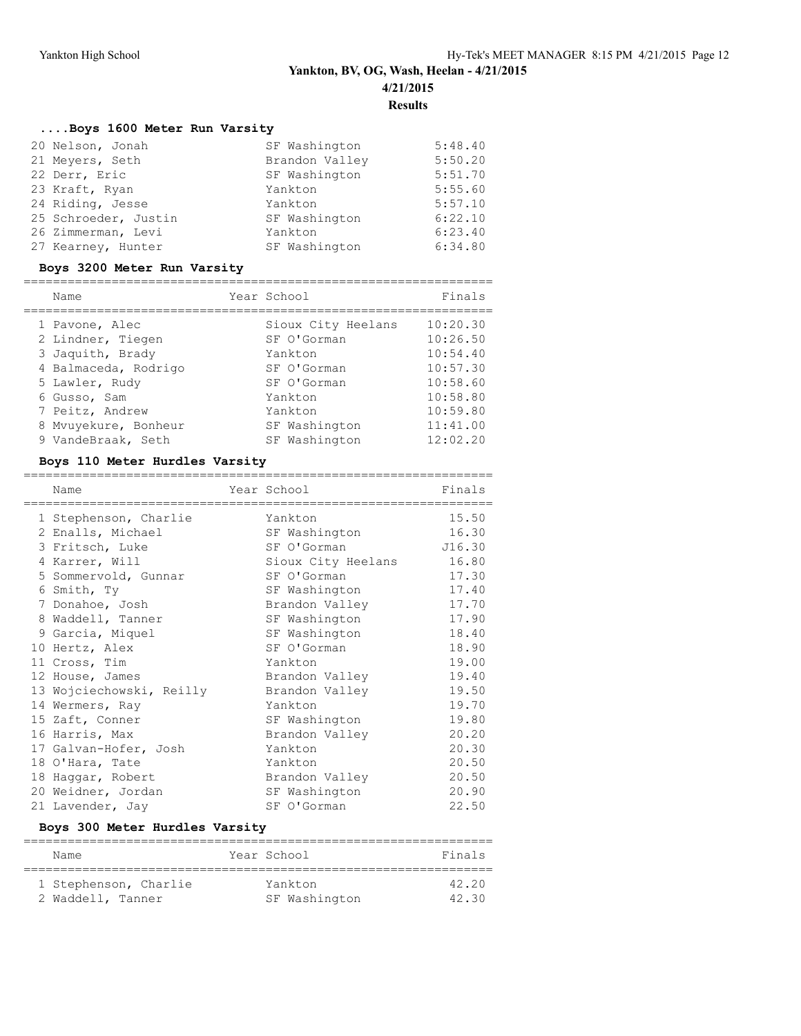**Results**

# **....Boys 1600 Meter Run Varsity**

| 20 Nelson, Jonah     | SF Washington  | 5:48.40 |
|----------------------|----------------|---------|
| 21 Meyers, Seth      | Brandon Valley | 5:50.20 |
| 22 Derr, Eric        | SF Washington  | 5:51.70 |
| 23 Kraft, Ryan       | Yankton        | 5:55.60 |
| 24 Riding, Jesse     | Yankton        | 5:57.10 |
| 25 Schroeder, Justin | SF Washington  | 6:22.10 |
| 26 Zimmerman, Levi   | Yankton        | 6:23.40 |
| 27 Kearney, Hunter   | SF Washington  | 6:34.80 |
|                      |                |         |

#### **Boys 3200 Meter Run Varsity**

| Name                                                                                                                                 | Year School                                                                                      | Finals                                                                           |
|--------------------------------------------------------------------------------------------------------------------------------------|--------------------------------------------------------------------------------------------------|----------------------------------------------------------------------------------|
| 1 Pavone, Alec<br>2 Lindner, Tiegen<br>3 Jaquith, Brady<br>4 Balmaceda, Rodrigo<br>5 Lawler, Rudy<br>6 Gusso, Sam<br>7 Peitz, Andrew | Sioux City Heelans<br>SF O'Gorman<br>Yankton<br>SF O'Gorman<br>SF O'Gorman<br>Yankton<br>Yankton | 10:20.30<br>10:26.50<br>10:54.40<br>10:57.30<br>10:58.60<br>10:58.80<br>10:59.80 |
| 8 Mvuyekure, Bonheur                                                                                                                 | SF Washington                                                                                    | 11:41.00                                                                         |
| 9 VandeBraak, Seth                                                                                                                   | SF Washington                                                                                    | 12:02.20                                                                         |

#### **Boys 110 Meter Hurdles Varsity**

| Name<br>;====================== | Year School<br>====================== | Finals |
|---------------------------------|---------------------------------------|--------|
| 1 Stephenson, Charlie           | Yankton                               | 15.50  |
| 2 Enalls, Michael               | SF Washington                         | 16.30  |
| 3 Fritsch, Luke                 | SF O'Gorman                           | J16.30 |
| 4 Karrer, Will                  | Sioux City Heelans                    | 16.80  |
| 5 Sommervold, Gunnar            | SF O'Gorman                           | 17.30  |
| 6 Smith, Ty                     | SF Washington                         | 17.40  |
| 7 Donahoe, Josh                 | Brandon Valley                        | 17.70  |
| 8 Waddell, Tanner               | SF Washington                         | 17.90  |
| 9 Garcia, Miquel                | SF Washington                         | 18.40  |
| 10 Hertz, Alex                  | SF O'Gorman                           | 18.90  |
| 11 Cross, Tim                   | Yankton                               | 19.00  |
| 12 House, James                 | Brandon Valley                        | 19.40  |
| 13 Wojciechowski, Reilly        | Brandon Valley                        | 19.50  |
| 14 Wermers, Ray                 | Yankton                               | 19.70  |
| 15 Zaft, Conner                 | SF Washington                         | 19.80  |
| 16 Harris, Max                  | Brandon Valley                        | 20.20  |
| 17 Galvan-Hofer, Josh           | Yankton                               | 20.30  |
| 18 O'Hara, Tate                 | Yankton                               | 20.50  |
| 18 Haggar, Robert               | Brandon Valley                        | 20.50  |
| 20 Weidner, Jordan              | SF Washington                         | 20.90  |
| 21 Lavender, Jay                | SF O'Gorman                           | 22.50  |

#### **Boys 300 Meter Hurdles Varsity**

| Name                  | Year School   | Finals |
|-----------------------|---------------|--------|
| 1 Stephenson, Charlie | Yankton       | 42.20  |
| 2 Waddell, Tanner     | SF Washington | 4230   |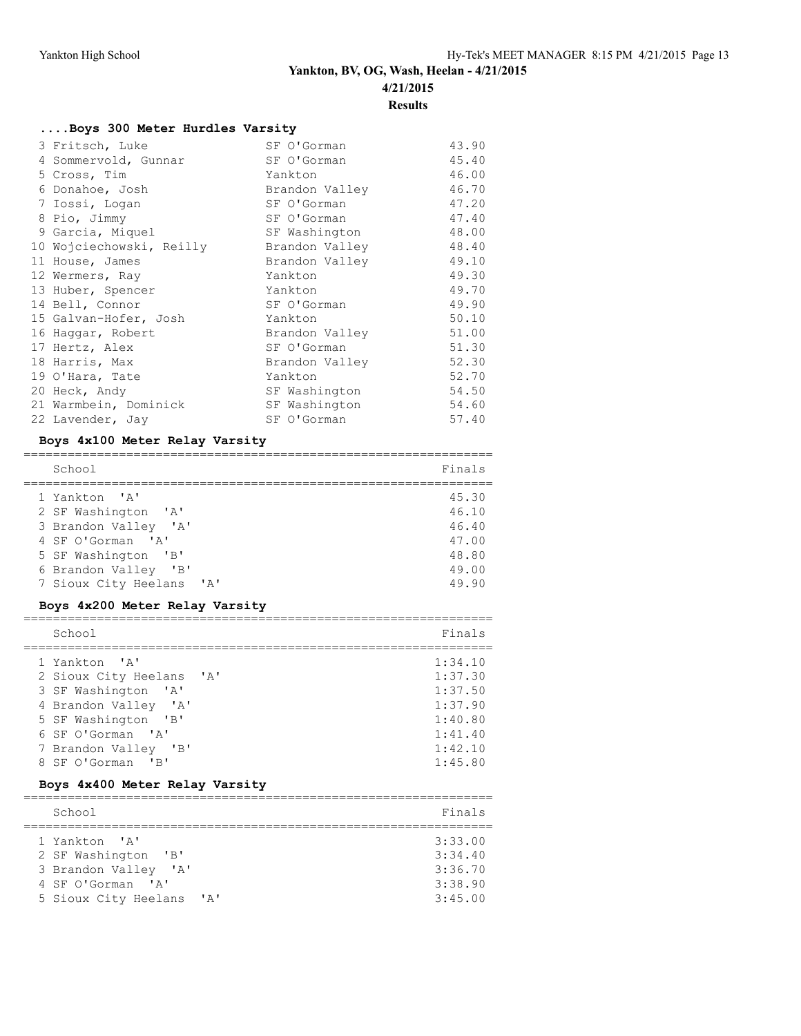**4/21/2015**

**Results**

# **....Boys 300 Meter Hurdles Varsity**

| 3 Fritsch, Luke          | SF O'Gorman    | 43.90 |
|--------------------------|----------------|-------|
| 4 Sommervold, Gunnar     | SF O'Gorman    | 45.40 |
| 5 Cross, Tim             | Yankton        | 46.00 |
| 6 Donahoe, Josh          | Brandon Valley | 46.70 |
| 7 Iossi, Logan           | SF O'Gorman    | 47.20 |
| 8 Pio, Jimmy             | SF O'Gorman    | 47.40 |
| 9 Garcia, Miquel         | SF Washington  | 48.00 |
| 10 Wojciechowski, Reilly | Brandon Valley | 48.40 |
| 11 House, James          | Brandon Valley | 49.10 |
| 12 Wermers, Ray          | Yankton        | 49.30 |
| 13 Huber, Spencer        | Yankton        | 49.70 |
| 14 Bell, Connor          | SF O'Gorman    | 49.90 |
| 15 Galvan-Hofer, Josh    | Yankton        | 50.10 |
| 16 Haqqar, Robert        | Brandon Valley | 51.00 |
| 17 Hertz, Alex           | SF O'Gorman    | 51.30 |
| 18 Harris, Max           | Brandon Valley | 52.30 |
| 19 O'Hara, Tate          | Yankton        | 52.70 |
| 20 Heck, Andy            | SF Washington  | 54.50 |
| 21 Warmbein, Dominick    | SF Washington  | 54.60 |
| 22 Lavender, Jay         | SF O'Gorman    | 57.40 |

# **Boys 4x100 Meter Relay Varsity**

| School                   | Finals |
|--------------------------|--------|
| 1 Yankton 'A'            | 45.30  |
| 2 SF Washington 'A'      | 46.10  |
| 3 Brandon Valley 'A'     | 46.40  |
| 4 SF O'Gorman 'A'        | 47.00  |
| 5 SF Washington 'B'      | 48.80  |
| 6 Brandon Valley 'B'     | 49.00  |
| 7 Sioux City Heelans 'A' | 49.90  |

#### **Boys 4x200 Meter Relay Varsity**

| School                   | Finals  |
|--------------------------|---------|
| 1 Yankton 'A'            | 1:34.10 |
| 2 Sioux City Heelans 'A' | 1:37.30 |
| 3 SF Washington 'A'      | 1:37.50 |
| 4 Brandon Valley 'A'     | 1:37.90 |
| 5 SF Washington 'B'      | 1:40.80 |
| 6 SF O'Gorman 'A'        | 1:41.40 |
| 7 Brandon Valley 'B'     | 1:42.10 |
| 8 SF O'Gorman 'B'        | 1:45.80 |

#### **Boys 4x400 Meter Relay Varsity**

| School                   | Finals  |
|--------------------------|---------|
|                          |         |
| 1 Yankton 'A'            | 3:33.00 |
| 2 SF Washington 'B'      | 3:34.40 |
| 3 Brandon Valley 'A'     | 3:36.70 |
| 4 SF O'Gorman 'A'        | 3:38.90 |
| 5 Sioux City Heelans 'A' | 3:45.00 |
|                          |         |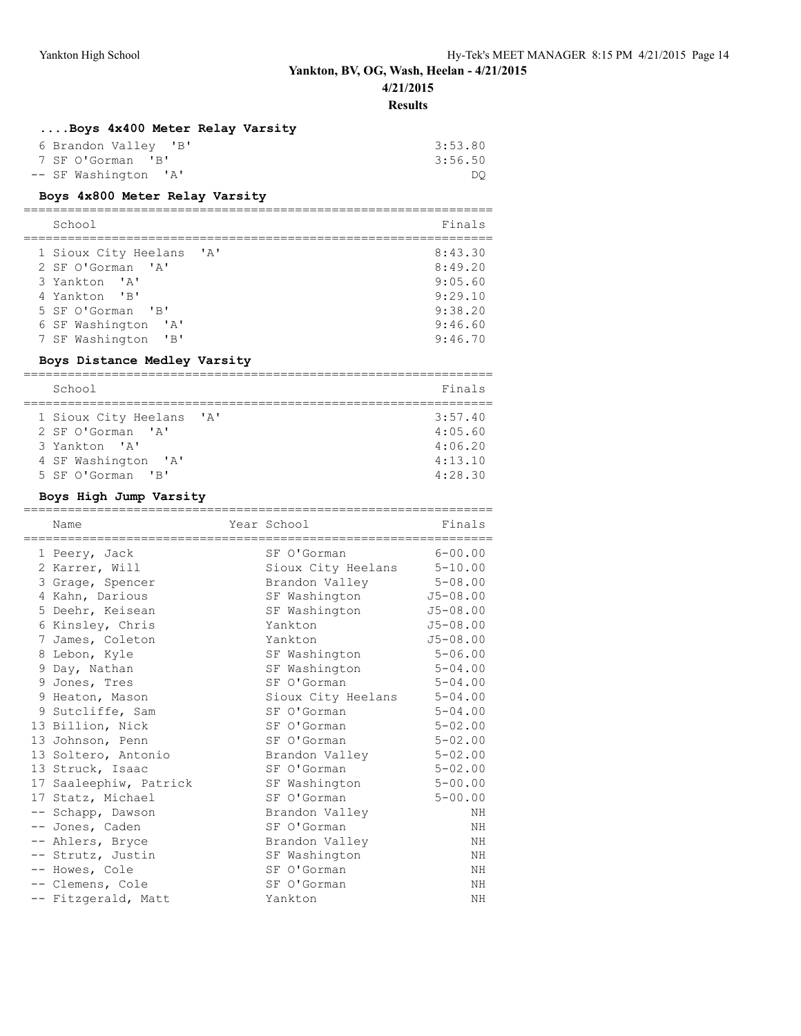**4/21/2015**

**Results**

# **....Boys 4x400 Meter Relay Varsity**

| 6 Brandon Valley 'B' | 3:53.80 |
|----------------------|---------|
| 7 SF O'Gorman 'B'    | 3:56.50 |
| -- SF Washington 'A' | DO -    |

#### **Boys 4x800 Meter Relay Varsity**

| Finals<br>School<br>8:43.30<br>1 Sioux City Heelans 'A'<br>8:49.20<br>2 SF O'Gorman 'A'<br>9:05.60<br>3 Yankton 'A'<br>9:29.10<br>4 Yankton 'B'<br>5 SF O'Gorman 'B'<br>9:38.20<br>9:46.60<br>6 SF Washington<br>$^{\prime}$ A $^{\prime}$ |                     |         |
|--------------------------------------------------------------------------------------------------------------------------------------------------------------------------------------------------------------------------------------------|---------------------|---------|
|                                                                                                                                                                                                                                            |                     |         |
|                                                                                                                                                                                                                                            | 7 SF Washington 'B' | 9:46.70 |

#### **Boys Distance Medley Varsity**

| School                   | Finals  |
|--------------------------|---------|
|                          |         |
| 1 Sioux City Heelans 'A' | 3:57.40 |
| 2 SF O'Gorman 'A'        | 4:05.60 |
| 3 Yankton 'A'            | 4:06.20 |
| 4 SF Washington 'A'      | 4:13.10 |
| 5 SF O'Gorman 'B'        | 4:28.30 |

#### **Boys High Jump Varsity**

| Name                   | Year School                | Finals       |
|------------------------|----------------------------|--------------|
| 1 Peery, Jack          | SF O'Gorman 6-00.00        |              |
| 2 Karrer, Will         | Sioux City Heelans 5-10.00 |              |
| 3 Grage, Spencer       | Brandon Valley 5-08.00     |              |
| 4 Kahn, Darious        | SF Washington              | J5-08.00     |
| 5 Deehr, Keisean       | SF Washington              | $J5 - 08.00$ |
| 6 Kinsley, Chris       | Yankton                    | $J5 - 08.00$ |
| 7 James, Coleton       | Yankton                    | $J5 - 08.00$ |
| 8 Lebon, Kyle          | SF Washington              | $5 - 06.00$  |
| 9 Day, Nathan          | SF Washington              | $5 - 04.00$  |
| 9 Jones, Tres          | SF O'Gorman                | $5 - 04.00$  |
| 9 Heaton, Mason        | Sioux City Heelans         | $5 - 04.00$  |
| 9 Sutcliffe, Sam       | SF O'Gorman                | $5 - 04.00$  |
| 13 Billion, Nick       | SF O'Gorman                | $5 - 02.00$  |
| 13 Johnson, Penn       | SF O'Gorman                | $5 - 02.00$  |
| 13 Soltero, Antonio    | Brandon Valley             | $5 - 02.00$  |
| 13 Struck, Isaac       | SF O'Gorman                | $5 - 02.00$  |
| 17 Saaleephiw, Patrick | SF Washington              | $5 - 00.00$  |
| 17 Statz, Michael      | SF O'Gorman                | $5 - 00.00$  |
| -- Schapp, Dawson      | Brandon Valley             | NH           |
| -- Jones, Caden        | SF O'Gorman                | NH           |
| -- Ahlers, Bryce       | Brandon Valley             | NH           |
| -- Strutz, Justin      | SF Washington              | NH           |
| -- Howes, Cole         | SF O'Gorman                | ΝH           |
| -- Clemens, Cole       | SF O'Gorman                | NH           |
| -- Fitzgerald, Matt    | Yankton                    | NH           |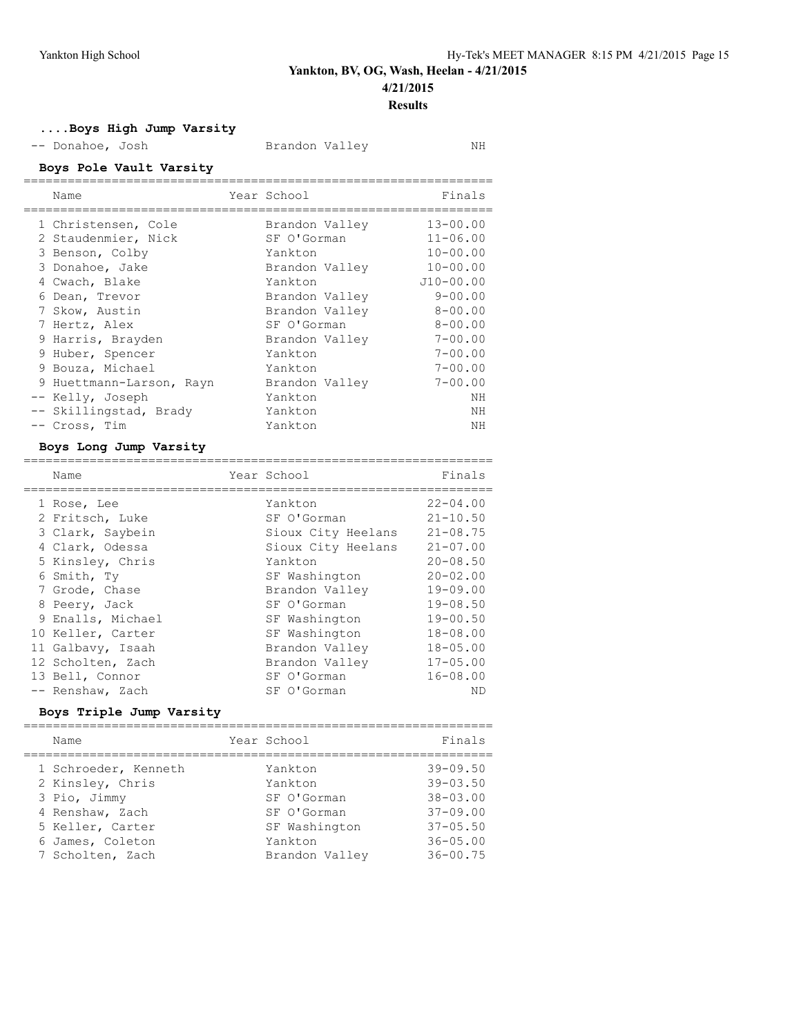================================================================

# **....Boys High Jump Varsity**

-- Donahoe, Josh Brandon Valley NH

#### **Boys Pole Vault Varsity** ================================================================

| Name                     | Year School    | Finals        |
|--------------------------|----------------|---------------|
| 1 Christensen, Cole      | Brandon Valley | $13 - 00.00$  |
| 2 Staudenmier, Nick      | SF O'Gorman    | $11 - 06.00$  |
| 3 Benson, Colby          | Yankton        | $10 - 00.00$  |
| 3 Donahoe, Jake          | Brandon Valley | $10 - 00.00$  |
| 4 Cwach, Blake           | Yankton        | $J10 - 00.00$ |
| 6 Dean, Trevor           | Brandon Valley | $9 - 00.00$   |
| 7 Skow, Austin           | Brandon Valley | $8 - 00.00$   |
| 7 Hertz, Alex            | SF O'Gorman    | $8 - 00.00$   |
| 9 Harris, Brayden        | Brandon Valley | $7 - 00.00$   |
| 9 Huber, Spencer         | Yankton        | $7 - 00.00$   |
| 9 Bouza, Michael         | Yankton        | $7 - 00.00$   |
| 9 Huettmann-Larson, Rayn | Brandon Valley | $7 - 00.00$   |
| -- Kelly, Joseph         | Yankton        | ΝH            |
| -- Skillingstad, Brady   | Yankton        | ΝH            |
| -- Cross, Tim            | Yankton        | NΗ            |

# **Boys Long Jump Varsity**

| Name              | Year School        | Finals       |
|-------------------|--------------------|--------------|
| 1 Rose, Lee       | Yankton            | $22 - 04.00$ |
| 2 Fritsch, Luke   | SF O'Gorman        | $21 - 10.50$ |
| 3 Clark, Saybein  | Sioux City Heelans | $21 - 08.75$ |
| 4 Clark, Odessa   | Sioux City Heelans | $21 - 07.00$ |
| 5 Kinsley, Chris  | Yankton            | $20 - 08.50$ |
| 6 Smith, Ty       | SF Washington      | $20 - 02.00$ |
| 7 Grode, Chase    | Brandon Valley     | $19 - 09.00$ |
| 8 Peery, Jack     | SF O'Gorman        | $19 - 08.50$ |
| 9 Enalls, Michael | SF Washington      | $19 - 00.50$ |
| 10 Keller, Carter | SF Washington      | $18 - 08.00$ |
| 11 Galbavy, Isaah | Brandon Valley     | $18 - 05.00$ |
| 12 Scholten, Zach | Brandon Valley     | $17 - 05.00$ |
| 13 Bell, Connor   | SF O'Gorman        | $16 - 08.00$ |
| -- Renshaw, Zach  | SF O'Gorman        | ND           |

#### **Boys Triple Jump Varsity**

| Name                                     | Year School        | Finals                       |
|------------------------------------------|--------------------|------------------------------|
| 1 Schroeder, Kenneth<br>2 Kinsley, Chris | Yankton<br>Yankton | $39 - 09.50$<br>$39 - 03.50$ |
| 3 Pio, Jimmy                             | SF O'Gorman        | $38 - 03.00$                 |
| 4 Renshaw, Zach                          | SF O'Gorman        | $37 - 09.00$                 |
| 5 Keller, Carter                         | SF Washington      | $37 - 05.50$                 |
| 6 James, Coleton                         | Yankton            | $36 - 05.00$                 |
| 7 Scholten, Zach                         | Brandon Valley     | $36 - 00.75$                 |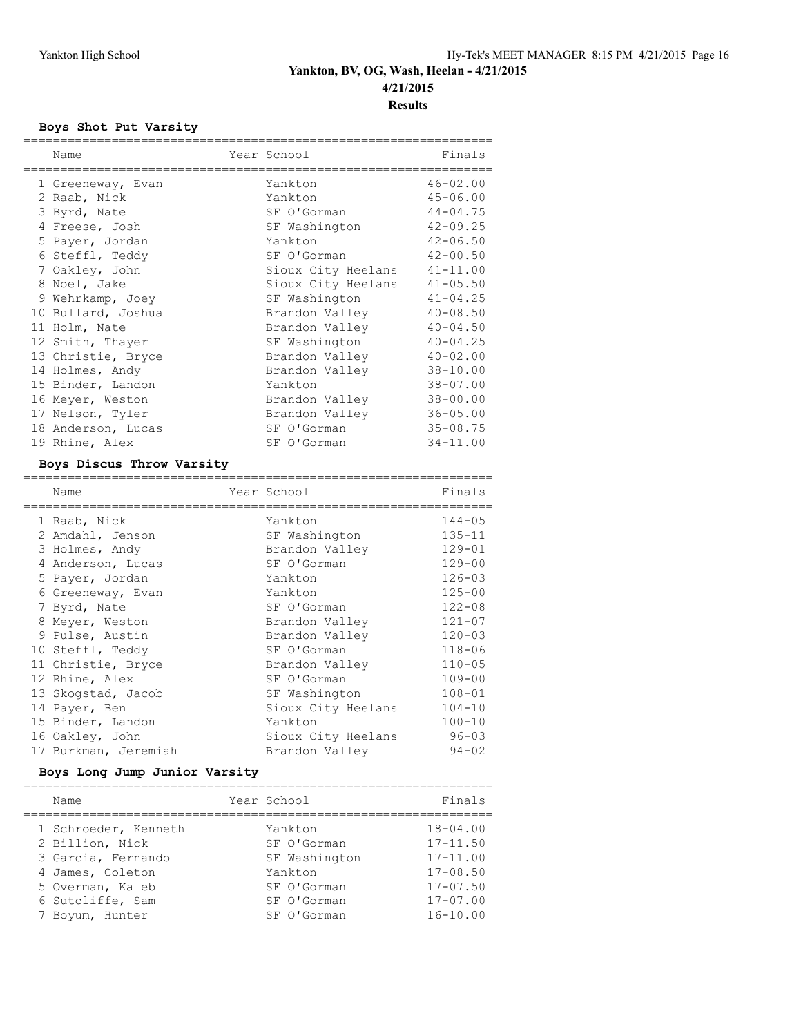#### **Boys Shot Put Varsity**

| Name                      | Year School        | Finals       |
|---------------------------|--------------------|--------------|
| 1 Greeneway, Evan         | Yankton            | $46 - 02.00$ |
| 2 Raab, Nick              | Yankton            | $45 - 06.00$ |
| 3 Byrd, Nate              | SF O'Gorman        | $44 - 04.75$ |
| 4 Freese, Josh            | SF Washington      | $42 - 09.25$ |
| 5 Payer, Jordan           | Yankton            | $42 - 06.50$ |
| 6 Steffl, Teddy           | SF O'Gorman        | $42 - 00.50$ |
| 7 Oakley, John            | Sioux City Heelans | $41 - 11.00$ |
| 8 Noel, Jake              | Sioux City Heelans | $41 - 05.50$ |
| 9 Wehrkamp, Joey          | SF Washington      | $41 - 04.25$ |
| 10 Bullard, Joshua        | Brandon Valley     | $40 - 08.50$ |
| 11 Holm, Nate             | Brandon Valley     | $40 - 04.50$ |
| 12 Smith, Thayer          | SF Washington      | $40 - 04.25$ |
| 13 Christie, Bryce        | Brandon Valley     | $40 - 02.00$ |
| 14 Holmes, Andy           | Brandon Valley     | $38 - 10.00$ |
| 15 Binder, Landon         | Yankton            | $38 - 07.00$ |
| 16 Meyer, Weston          | Brandon Valley     | $38 - 00.00$ |
| 17 Nelson, Tyler          | Brandon Valley     | $36 - 05.00$ |
| 18 Anderson, Lucas        | SF O'Gorman        | $35 - 08.75$ |
| 19 Rhine, Alex            | SF O'Gorman        | $34 - 11.00$ |
| Boys Discus Throw Varsity |                    |              |
| Name                      | Year School        | Finals       |
| 1 Raab, Nick              | Yankton            | $144 - 05$   |
| 2 Amdahl, Jenson          | SF Washington      | $135 - 11$   |
| 3 Holmes, Andy            | Brandon Valley     | $129 - 01$   |

| 3 Holmes, Andy       | Brandon Valley     | $129 - 01$ |
|----------------------|--------------------|------------|
| 4 Anderson, Lucas    | SF O'Gorman        | $129 - 00$ |
| 5 Payer, Jordan      | Yankton            | $126 - 03$ |
| 6 Greeneway, Evan    | Yankton            | $125 - 00$ |
| 7 Byrd, Nate         | SF O'Gorman        | $122 - 08$ |
| 8 Meyer, Weston      | Brandon Valley     | $121 - 07$ |
| 9 Pulse, Austin      | Brandon Valley     | $120 - 03$ |
| 10 Steffl, Teddy     | SF O'Gorman        | $118 - 06$ |
| 11 Christie, Bryce   | Brandon Valley     | $110 - 05$ |
| 12 Rhine, Alex       | SF O'Gorman        | $109 - 00$ |
| 13 Skogstad, Jacob   | SF Washington      | $108 - 01$ |
| 14 Payer, Ben        | Sioux City Heelans | $104 - 10$ |
| 15 Binder, Landon    | Yankton            | $100 - 10$ |
| 16 Oakley, John      | Sioux City Heelans | $96 - 03$  |
| 17 Burkman, Jeremiah | Brandon Valley     | $94 - 02$  |

# **Boys Long Jump Junior Varsity**

| Finals<br>Year School<br>Name<br>$18 - 04.00$<br>1 Schroeder, Kenneth<br>Yankton<br>2 Billion, Nick<br>$17 - 11.50$<br>SF O'Gorman<br>SF Washington<br>3 Garcia, Fernando<br>$17 - 11.00$<br>$17 - 08.50$<br>4 James, Coleton<br>Yankton<br>$17 - 07.50$<br>5 Overman, Kaleb<br>SF O'Gorman<br>$17 - 07.00$<br>6 Sutcliffe, Sam<br>SF O'Gorman<br>$16 - 10.00$<br>SF O'Gorman<br>7 Boyum, Hunter |  |  |  |
|--------------------------------------------------------------------------------------------------------------------------------------------------------------------------------------------------------------------------------------------------------------------------------------------------------------------------------------------------------------------------------------------------|--|--|--|
|                                                                                                                                                                                                                                                                                                                                                                                                  |  |  |  |
|                                                                                                                                                                                                                                                                                                                                                                                                  |  |  |  |
|                                                                                                                                                                                                                                                                                                                                                                                                  |  |  |  |
|                                                                                                                                                                                                                                                                                                                                                                                                  |  |  |  |
|                                                                                                                                                                                                                                                                                                                                                                                                  |  |  |  |
|                                                                                                                                                                                                                                                                                                                                                                                                  |  |  |  |
|                                                                                                                                                                                                                                                                                                                                                                                                  |  |  |  |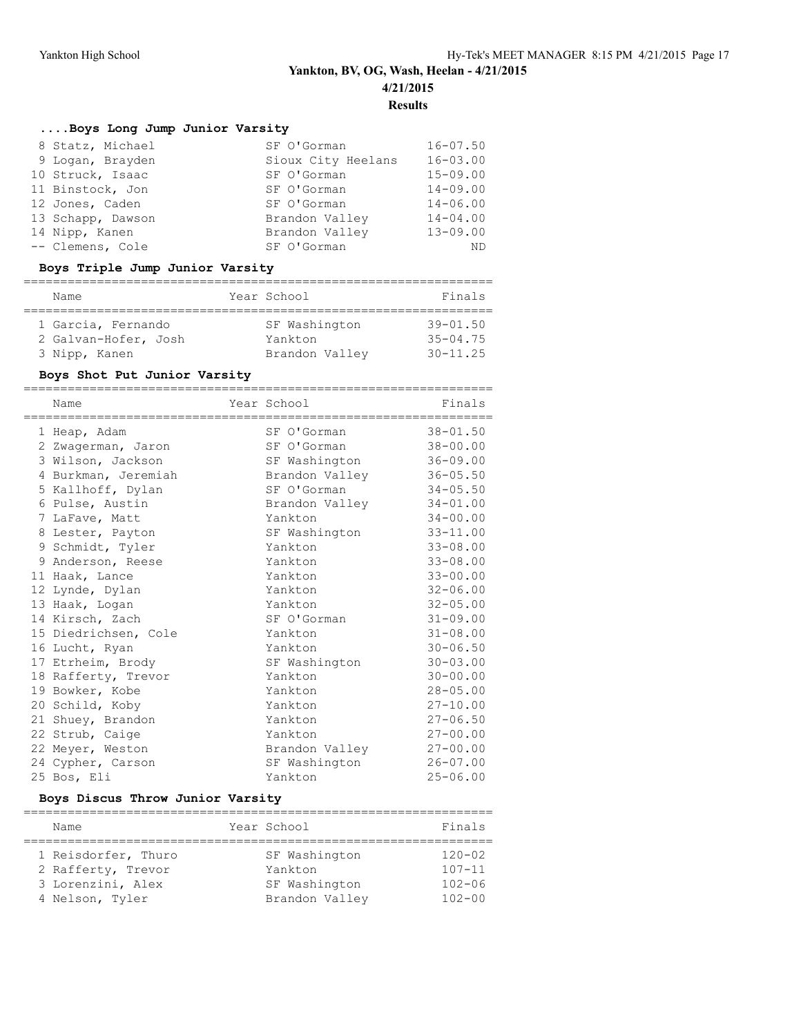# **....Boys Long Jump Junior Varsity**

| 8 Statz, Michael  | SF O'Gorman        | $16 - 07.50$ |
|-------------------|--------------------|--------------|
| 9 Logan, Brayden  | Sioux City Heelans | $16 - 03.00$ |
| 10 Struck, Isaac  | SF O'Gorman        | $15 - 09.00$ |
| 11 Binstock, Jon  | SF O'Gorman        | $14 - 09.00$ |
| 12 Jones, Caden   | SF O'Gorman        | $14 - 06.00$ |
| 13 Schapp, Dawson | Brandon Valley     | $14 - 04.00$ |
| 14 Nipp, Kanen    | Brandon Valley     | $13 - 09.00$ |
| -- Clemens, Cole  | SF O'Gorman        | ND.          |

#### **Boys Triple Jump Junior Varsity**

| Name                 |  | Year School    | Finals       |  |  |
|----------------------|--|----------------|--------------|--|--|
|                      |  |                |              |  |  |
| 1 Garcia, Fernando   |  | SF Washington  | $39 - 01.50$ |  |  |
| 2 Galvan-Hofer, Josh |  | Yankton        | $35 - 04.75$ |  |  |
| 3 Nipp, Kanen        |  | Brandon Valley | $30 - 11.25$ |  |  |

# **Boys Shot Put Junior Varsity**

| Name                 | Year School    | Finals       |
|----------------------|----------------|--------------|
| 1 Heap, Adam         | SF O'Gorman    | $38 - 01.50$ |
| 2 Zwagerman, Jaron   | SF O'Gorman    | $38 - 00.00$ |
| 3 Wilson, Jackson    | SF Washington  | $36 - 09.00$ |
| 4 Burkman, Jeremiah  | Brandon Valley | $36 - 05.50$ |
| 5 Kallhoff, Dylan    | SF O'Gorman    | $34 - 05.50$ |
| 6 Pulse, Austin      | Brandon Valley | $34 - 01.00$ |
| 7 LaFave, Matt       | Yankton        | $34 - 00.00$ |
| 8 Lester, Payton     | SF Washington  | $33 - 11.00$ |
| 9 Schmidt, Tyler     | Yankton        | $33 - 08.00$ |
| 9 Anderson, Reese    | Yankton        | $33 - 08.00$ |
| 11 Haak, Lance       | Yankton        | $33 - 00.00$ |
| 12 Lynde, Dylan      | Yankton        | $32 - 06.00$ |
| 13 Haak, Logan       | Yankton        | $32 - 05.00$ |
| 14 Kirsch, Zach      | SF O'Gorman    | $31 - 09.00$ |
| 15 Diedrichsen, Cole | Yankton        | $31 - 08.00$ |
| 16 Lucht, Ryan       | Yankton        | $30 - 06.50$ |
| 17 Etrheim, Brody    | SF Washington  | $30 - 03.00$ |
| 18 Rafferty, Trevor  | Yankton        | $30 - 00.00$ |
| 19 Bowker, Kobe      | Yankton        | $28 - 05.00$ |
| 20 Schild, Koby      | Yankton        | $27 - 10.00$ |
| 21 Shuey, Brandon    | Yankton        | $27 - 06.50$ |
| 22 Strub, Caige      | Yankton        | $27 - 00.00$ |
| 22 Meyer, Weston     | Brandon Valley | $27 - 00.00$ |
| 24 Cypher, Carson    | SF Washington  | $26 - 07.00$ |
| 25 Bos, Eli          | Yankton        | $25 - 06.00$ |

#### **Boys Discus Throw Junior Varsity**

|  | Name                |  | Year School    | Finals     |  |
|--|---------------------|--|----------------|------------|--|
|  |                     |  |                |            |  |
|  | 1 Reisdorfer, Thuro |  | SF Washington  | $120 - 02$ |  |
|  | 2 Rafferty, Trevor  |  | Yankton        | $107 - 11$ |  |
|  | 3 Lorenzini, Alex   |  | SF Washington  | $102 - 06$ |  |
|  | 4 Nelson, Tyler     |  | Brandon Valley | $102 - 00$ |  |